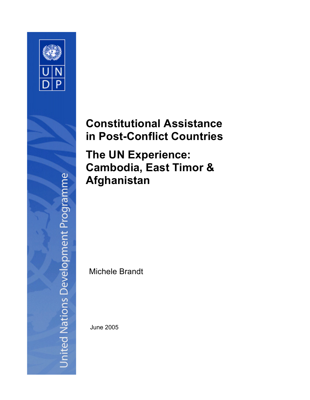

# **Constitutional Assistance in Post-Conflict Countries**

**The UN Experience: Cambodia, East Timor & Afghanistan**

Michele Brandt

June 2005

**Jnited Nations Development Programme**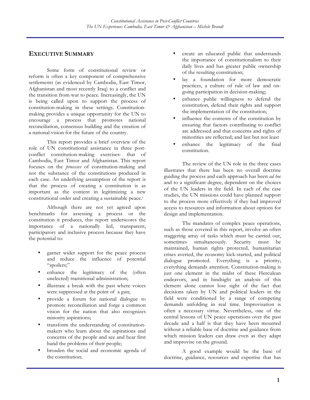## **EXECUTIVE SUMMARY**

Some form of constitutional review or reform is often a key component of comprehensive settlements (as evidenced by Cambodia, East Timor, Afghanistan and most recently Iraq) to a conflict and the transition from war to peace. Increasingly, the UN is being called upon to support the process of constitution-making in these settings. Constitutionmaking provides a unique opportunity for the UN to encourage a process that promotes national reconciliation, consensus building and the creation of a national vision for the future of the country.

This report provides a brief overview of the role of UN constitutional assistance in three postconflict constitution-making exercises: that of Cambodia, East Timor and Afghanistan. This report focuses on the *processes* of constitution-making and not the substance of the constitutions produced in each case. An underlying assumption of the report is that the process of creating a constitution is as important as the content in legitimizing a new constitutional order and creating a sustainable peace.i

Although there are not yet agreed upon benchmarks for assessing a process or the constitution it produces, this report underscores the importance of a nationally led, transparent, participatory and inclusive process because they have the potential to:

- garner wider support for the peace process and reduce the influence of potential "spoilers;"
- enhance the legitimacy of the (often unelected) transitional administration;
- illustrate a break with the past where voices were suppressed at the point of a gun;
- provide a forum for national dialogue to promote reconciliation and forge a common vision for the nation that also recognizes minority aspirations;
- transform the understanding of constitutionmakers who learn about the aspirations and concerns of the people and see and hear first hand the problems of their people;
- broaden the social and economic agenda of the constitution;
- create an educated public that understands the importance of constitutionalism to their daily lives and has greater public ownership of the resulting constitution;
- lay a foundation for more democratic practices, a culture of rule of law and ongoing participation in decision-making;
- enhance public willingness to defend the constitution, defend their rights and support the implementation of the constitution;
- influence the contents of the constitution by ensuring that factors contributing to conflict are addressed and that concerns and rights of minorities are reflected; and last but not least
- enhance the legitimacy of the final constitution.

The review of the UN role in the three cases illustrates that there has been no overall doctrine guiding the process and each approach has been *ad hoc* and to a significant degree, dependent on the choices of the UN leaders in the field. In each of the case studies, the UN missions could have planned support to the process more effectively if they had improved access to resources and information about options for design and implementation.

The mandates of complex peace operations, such as those covered in this report, involve an often staggering array of tasks which must be carried out, sometimes simultaneously. Security must be maintained, human rights protected, humanitarian crises averted, the economy kick-started, and political dialogue promoted. Everything is a priority; everything demands attention. Constitution-making is just one element in the midst of these Herculean endeavors, and in hindsight an analysis of this element alone cannot lose sight of the fact that decisions taken by UN and political leaders in the field were conditioned by a range of competing demands unfolding in real time. Improvisation is often a necessary virtue. Nevertheless, one of the central lessons of UN peace operations over the past decade and a half is that they have been mounted without a reliable base of doctrine and guidance from which mission leaders can draw even as they adapt and improvise on the ground.

A good example would be the base of doctrine, guidance, resources and expertise that has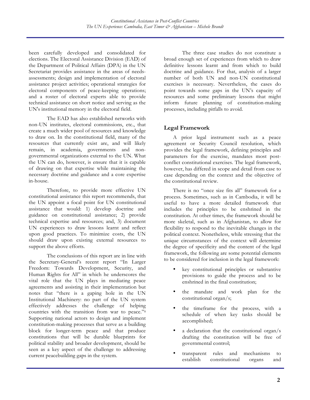been carefully developed and consolidated for elections. The Electoral Assistance Division (EAD) of the Department of Political Affairs (DPA) in the UN Secretariat provides assistance in the areas of needsassessments; design and implementation of electoral assistance project activities; operational strategies for electoral components of peace-keeping operations; and a roster of electoral experts able to provide technical assistance on short notice and serving as the UN's institutional memory in the electoral field.

The EAD has also established networks with non-UN institutes, electoral commissions, etc., that create a much wider pool of resources and knowledge to draw on. In the constitutional field, many of the resources that currently exist are, and will likely remain, in academia, governments and nongovernmental organizations external to the UN. What the UN can do, however, is ensure that it is capable of drawing on that expertise while maintaining the necessary doctrine and guidance and a core expertise in-house.

Therefore, to provide more effective UN constitutional assistance this report recommends, that the UN appoint a focal point for UN constitutional assistance that would: 1) develop doctrine and guidance on constitutional assistance; 2) provide technical expertise and resources; and, 3) document UN experiences to draw lessons learnt and reflect upon good practices. To minimize costs, the UN should draw upon existing external resources to support the above efforts.

The conclusions of this report are in line with the Secretary-General's recent report "In Larger Freedom: Towards Development, Security, and Human Rights for All" in which he underscores the vital role that the UN plays in mediating peace agreements and assisting in their implementation but notes that "there is a gaping hole in the UN Institutional Machinery: no part of the UN system effectively addresses the challenge of helping countries with the transition from war to peace."ii Supporting national actors to design and implement constitution-making processes that serve as a building block for longer-term peace and that produce constitutions that will be durable blueprints for political stability and broader development, should be seen as a key aspect of the challenge to addressing current peacebuilding gaps in the system.

The three case studies do not constitute a broad enough set of experiences from which to draw definitive lessons learnt and from which to build doctrine and guidance. For that, analysis of a larger number of both UN and non-UN constitutional exercises is necessary. Nevertheless, the cases do point towards some gaps in the UN's capacity of resources and some preliminary lessons that might inform future planning of constitution-making processes, including pitfalls to avoid.

## **Legal Framework**

A prior legal instrument such as a peace agreement or Security Council resolution, which provides the legal framework, defining principles and parameters for the exercise, mandates most postconflict constitutional exercises. The legal framework, however, has differed in scope and detail from case to case depending on the context and the objective of the constitutional review.

There is no "once size fits all" framework for a process. Sometimes, such as in Cambodia, it will be useful to have a more detailed framework that includes the principles to be enshrined in the constitution. At other times, the framework should be more skeletal, such as in Afghanistan, to allow for flexibility to respond to the inevitable changes in the political context. Nonetheless, while stressing that the unique circumstances of the context will determine the degree of specificity and the content of the legal framework, the following are some potential elements to be considered for inclusion in the legal framework:

- key constitutional principles or substantive provisions to guide the process and to be enshrined in the final constitution;
- the mandate and work plan for the constitutional organ/s;
- the timeframe for the process, with a schedule of when key tasks should be accomplished;
- a declaration that the constitutional organ/s drafting the constitution will be free of governmental control;
- transparent rules and mechanisms to establish constitutional organs and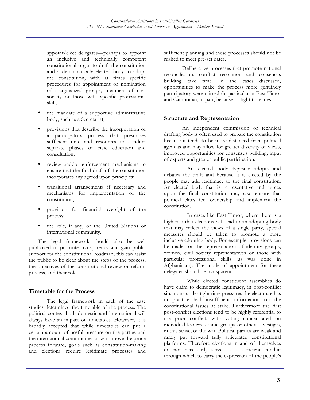appoint/elect delegates—perhaps to appoint an inclusive and technically competent constitutional organ to draft the constitution and a democratically elected body to adopt the constitution, with at times specific procedures for appointment or nomination of marginalized groups, members of civil society or those with specific professional skills.

- the mandate of a supportive administrative body, such as a Secretariat;
- provisions that describe the incorporation of a participatory process that prescribes sufficient time and resources to conduct separate phases of civic education and consultation;
- review and/or enforcement mechanisms to ensure that the final draft of the constitution incorporates any agreed upon principles;
- transitional arrangements if necessary and mechanisms for implementation of the constitution;
- provision for financial oversight of the process;
- the role, if any, of the United Nations or international community.

The legal framework should also be well publicized to promote transparency and gain public support for the constitutional roadmap; this can assist the public to be clear about the steps of the process, the objectives of the constitutional review or reform process, and their role.

#### **Timetable for the Process**

The legal framework in each of the case studies determined the timetable of the process. The political context both domestic and international will always have an impact on timetables. However, it is broadly accepted that while timetables can put a certain amount of useful pressure on the parties and the international communities alike to move the peace process forward, goals such as constitution-making and elections require legitimate processes and

sufficient planning and these processes should not be rushed to meet pre-set dates.

Deliberative processes that promote national reconciliation, conflict resolution and consensus building take time. In the cases discussed, opportunities to make the process more genuinely participatory were missed (in particular in East Timor and Cambodia), in part, because of tight timelines.

#### **Structure and Representation**

An independent commission or technical drafting body is often used to prepare the constitution because it tends to be more distanced from political agendas and may allow for greater diversity of views, improved opportunities for consensus building, input of experts and greater public participation.

An elected body typically adopts and debates the draft and because it is elected by the people may add legitimacy to the final constitution. An elected body that is representative and agrees upon the final constitution may also ensure that political elites feel ownership and implement the constitution.

In cases like East Timor, where there is a high risk that elections will lead to an adopting body that may reflect the views of a single party, special measures should be taken to promote a more inclusive adopting body. For example, provisions can be made for the representation of identity groups, women, civil society representatives or those with particular professional skills (as was done in Afghanistan). The mode of appointment for these delegates should be transparent.

While elected constituent assemblies do have claim to democratic legitimacy, in post-conflict situations under tight time pressures the electorate has in practice had insufficient information on the constitutional issues at stake. Furthermore the first post-conflict elections tend to be highly referential to the prior conflict, with voting concentrated on individual leaders, ethnic groups or others—vestiges, in this sense, of the war. Political parties are weak and rarely put forward fully articulated constitutional platforms. Therefore elections in and of themselves do not necessarily serve as a sufficient conduit through which to carry the expression of the people's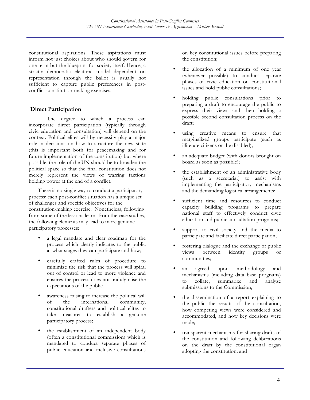constitutional aspirations. These aspirations must inform not just choices about who should govern for one term but the blueprint for society itself. Hence, a strictly democratic electoral model dependent on representation through the ballot is usually not sufficient to capture public preferences in postconflict constitution-making exercises.

## **Direct Participation**

The degree to which a process can incorporate direct participation (typically through civic education and consultation) will depend on the context. Political elites will by necessity play a major role in decisions on how to structure the new state (this is important both for peacemaking and for future implementation of the constitution) but where possible, the role of the UN should be to broaden the political space so that the final constitution does not merely represent the views of warring factions holding power at the end of a conflict.

There is no single way to conduct a participatory process; each post-conflict situation has a unique set of challenges and specific objectives for the constitution-making exercise. Nonetheless, following from some of the lessons learnt from the case studies, the following elements may lead to more genuine participatory processes:

- a legal mandate and clear roadmap for the process which clearly indicates to the public at what stages they can participate and how;
- carefully crafted rules of procedure to minimize the risk that the process will spiral out of control or lead to more violence and ensures the process does not unduly raise the expectations of the public.
- awareness raising to increase the political will of the international community, constitutional drafters and political elites to take measures to establish a genuine participatory process;
- the establishment of an independent body (often a constitutional commission) which is mandated to conduct separate phases of public education and inclusive consultations

on key constitutional issues before preparing the constitution;

- the allocation of a minimum of one year (whenever possible) to conduct separate phases of civic education on constitutional issues and hold public consultations;
- holding public consultations prior to preparing a draft to encourage the public to express their views and then holding a possible second consultation process on the draft;
- using creative means to ensure that marginalized groups participate (such as illiterate citizens or the disabled);
- an adequate budget (with donors brought on board as soon as possible);
- the establishment of an administrative body (such as a secretariat) to assist with implementing the participatory mechanisms and the demanding logistical arrangements;
- sufficient time and resources to conduct capacity building programs to prepare national staff to effectively conduct civic education and public consultation programs;
- support to civil society and the media to participate and facilitate direct participation;
- fostering dialogue and the exchange of public views between identity groups or communities;
- an agreed upon methodology and mechanisms (including data base programs) to collate, summarize and analyze submissions to the Commission;
- the dissemination of a report explaining to the public the results of the consultation, how competing views were considered and accommodated, and how key decisions were made;
- transparent mechanisms for sharing drafts of the constitution and following deliberations on the draft by the constitutional organ adopting the constitution; and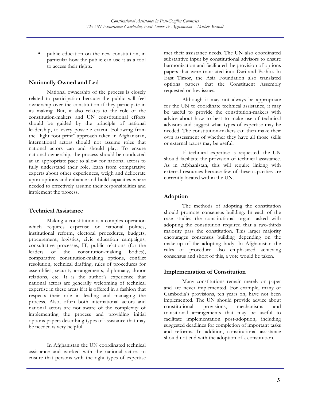• public education on the new constitution, in particular how the public can use it as a tool to access their rights.

#### **Nationally Owned and Led**

National ownership of the process is closely related to participation because the public will feel ownership over the constitution if they participate in its making. But, it also relates to the role of the constitution-makers and UN constitutional efforts should be guided by the principle of national leadership, to every possible extent. Following from the "light foot print" approach taken in Afghanistan, international actors should not assume roles that national actors can and should play. To ensure national ownership, the process should be conducted at an appropriate pace to allow for national actors to fully understand their role, learn from comparative experts about other experiences, weigh and deliberate upon options and enhance and build capacities where needed to effectively assume their responsibilities and implement the process.

#### **Technical Assistance**

Making a constitution is a complex operation which requires expertise on national politics, institutional reform, electoral procedures, budgets, procurement, logistics, civic education campaigns, consultative processes, IT, public relations (for the leaders of the constitution-making bodies), comparative constitution-making options, conflict resolution, technical drafting, rules of procedures for assemblies, security arrangements, diplomacy, donor relations, etc. It is the author's experience that national actors are generally welcoming of technical expertise in these areas if it is offered in a fashion that respects their role in leading and managing the process. Also, often both international actors and national actors are not aware of the complexity of implementing the process and providing initial options papers describing types of assistance that may be needed is very helpful.

In Afghanistan the UN coordinated technical assistance and worked with the national actors to ensure that persons with the right types of expertise met their assistance needs. The UN also coordinated substantive input by constitutional advisors to ensure harmonization and facilitated the provision of options papers that were translated into Dari and Pashtu. In East Timor, the Asia Foundation also translated options papers that the Constituent Assembly requested on key issues.

Although it may not always be appropriate for the UN to coordinate technical assistance, it may be useful to provide the constitution-makers with advice about how to best to make use of technical advisors and suggest what types of expertise may be needed. The constitution-makers can then make their own assessment of whether they have all those skills or external actors may be useful.

If technical expertise is requested, the UN should facilitate the provision of technical assistance. As in Afghanistan, this will require linking with external resources because few of these capacities are currently located within the UN.

#### **Adoption**

The methods of adopting the constitution should promote consensus building. In each of the case studies the constitutional organ tasked with adopting the constitution required that a two-thirds majority pass the constitution. This larger majority encourages consensus building depending on the make-up of the adopting body. In Afghanistan the rules of procedure also emphasized achieving consensus and short of this, a vote would be taken.

#### **Implementation of Constitution**

Many constitutions remain merely on paper and are never implemented. For example, many of Cambodia's provisions, ten years on, have not been implemented. The UN should provide advice about constitutional provisions, mechanisms and transitional arrangements that may be useful to facilitate implementation post-adoption, including suggested deadlines for completion of important tasks and reforms. In addition, constitutional assistance should not end with the adoption of a constitution.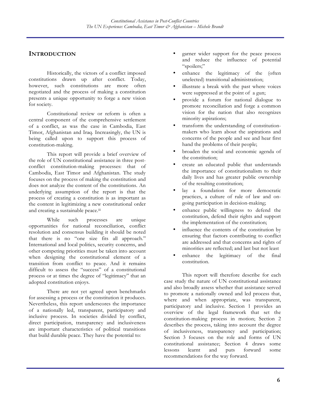# **INTRODUCTION**

Historically, the victors of a conflict imposed constitutions drawn up after conflict. Today, however, such constitutions are more often negotiated and the process of making a constitution presents a unique opportunity to forge a new vision for society.

Constitutional review or reform is often a central component of the comprehensive settlement of a conflict, as was the case in Cambodia, East Timor, Afghanistan and Iraq. Increasingly, the UN is being called upon to support this process of constitution-making.

This report will provide a brief overview of the role of UN constitutional assistance in three postconflict constitution-making processes: that of Cambodia, East Timor and Afghanistan. The study focuses on the process of making the constitution and does not analyze the content of the constitutions. An underlying assumption of the report is that the process of creating a constitution is as important as the content in legitimizing a new constitutional order and creating a sustainable peace.iii

While such processes are unique opportunities for national reconciliation, conflict resolution and consensus building it should be noted that there is no "one size fits all approach." International and local politics, security concerns, and other competing priorities must be taken into account when designing the constitutional element of a transition from conflict to peace. And it remains difficult to assess the "success" of a constitutional process or at times the degree of "legitimacy" that an adopted constitution enjoys.

There are not yet agreed upon benchmarks for assessing a process or the constitution it produces. Nevertheless, this report underscores the importance of a nationally led, transparent, participatory and inclusive process. In societies divided by conflict, direct participation, transparency and inclusiveness are important characteristics of political transitions that build durable peace. They have the potential to:

- garner wider support for the peace process and reduce the influence of potential "spoilers;"
- enhance the legitimacy of the (often unelected) transitional administration;
- illustrate a break with the past where voices were suppressed at the point of a gun;
- provide a forum for national dialogue to promote reconciliation and forge a common vision for the nation that also recognizes minority aspirations;
- transform the understanding of constitutionmakers who learn about the aspirations and concerns of the people and see and hear first hand the problems of their people;
- broaden the social and economic agenda of the constitution;
- create an educated public that understands the importance of constitutionalism to their daily lives and has greater public ownership of the resulting constitution;
- lay a foundation for more democratic practices, a culture of rule of law and ongoing participation in decision-making;
- enhance public willingness to defend the constitution, defend their rights and support the implementation of the constitution;
- influence the contents of the constitution by ensuring that factors contributing to conflict are addressed and that concerns and rights of minorities are reflected; and last but not least
- enhance the legitimacy of the final constitution.

This report will therefore describe for each case study the nature of UN constitutional assistance and also broadly assess whether that assistance served to promote a nationally owned and led process that, where and when appropriate, was transparent, participatory and inclusive. Section 1 provides an overview of the legal framework that set the constitution-making process in motion; Section 2 describes the process, taking into account the degree of inclusiveness, transparency and participation; Section 3 focuses on the role and forms of UN constitutional assistance; Section 4 draws some lessons learnt and puts forward some recommendations for the way forward.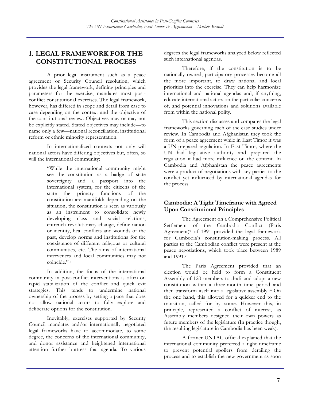# **1. LEGAL FRAMEWORK FOR THE CONSTITUTIONAL PROCESS**

A prior legal instrument such as a peace agreement or Security Council resolution, which provides the legal framework, defining principles and parameters for the exercise, mandates most postconflict constitutional exercises. The legal framework, however, has differed in scope and detail from case to case depending on the context and the objective of the constitutional review. Objectives may or may not be explicitly stated. Stated objectives may include—to name only a few—national reconciliation, institutional reform or ethnic minority representation.

In internationalized contexts not only will national actors have differing objectives but, often, so will the international community:

> "While the international community might see the constitution as a badge of state sovereignty and a passport into the international system, for the citizens of the state the primary functions of the constitution are manifold: depending on the situation, the constitution is seen as variously as an instrument to consolidate newly developing class and social relations, entrench revolutionary change, define nation or identity, heal conflicts and wounds of the past, develop norms and institutions for the coexistence of different religious or cultural communities, etc. The aims of international interveners and local communities may not coincide."iv

In addition, the focus of the international community in post-conflict interventions is often on rapid stabilization of the conflict and quick exit strategies. This tends to undermine national ownership of the process by setting a pace that does not allow national actors to fully explore and deliberate options for the constitution.

Inevitably, exercises supported by Security Council mandates and/or internationally negotiated legal frameworks have to accommodate, to some degree, the concerns of the international community, and donor assistance and heightened international attention further buttress that agenda. To various

degrees the legal frameworks analyzed below reflected such international agendas.

Therefore, if the constitution is to be nationally owned, participatory processes become all the more important, to draw national and local priorities into the exercise. They can help harmonize international and national agendas and, if anything, educate international actors on the particular concerns of, and potential innovations and solutions available from within the national polity.

This section discusses and compares the legal frameworks governing each of the case studies under review. In Cambodia and Afghanistan they took the form of a peace agreement while in East Timor it was a UN prepared regulation. In East Timor, where the UN had legislative authority and prepared the regulation it had more influence on the content. In Cambodia and Afghanistan the peace agreements were a product of negotiations with key parties to the conflict yet influenced by international agendas for the process.

## **Cambodia: A Tight Timeframe with Agreed Upon Constitutional Principles**

The Agreement on a Comprehensive Political Settlement of the Cambodia Conflict (Paris Agreement) $v$  of 1991 provided the legal framework for Cambodia's constitution-making process. All parties to the Cambodian conflict were present at the peace negotiations, which took place between 1989 and 1991.vi

The Paris Agreement provided that an election would be held to form a Constituent Assembly of 120 members to draft and adopt a new constitution within a three-month time period and then transform itself into a legislative assembly.<sup>vii</sup> On the one hand, this allowed for a quicker end to the transition, called for by some. However this, in principle, represented a conflict of interest, as Assembly members designed their own powers as future members of the legislature (In practice though, the resulting legislature in Cambodia has been weak).

A former UNTAC official explained that the international community preferred a tight timeframe to prevent potential spoilers from derailing the process and to establish the new government as soon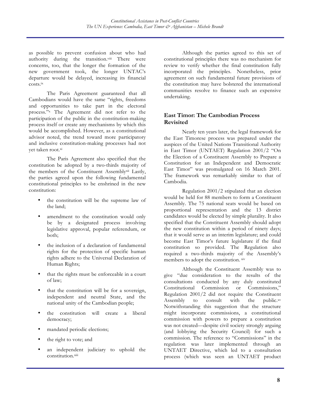as possible to prevent confusion about who had authority during the transition.<sup>viii</sup> There were concerns, too, that the longer the formation of the new government took, the longer UNTAC's departure would be delayed, increasing its financial costs.ix

The Paris Agreement guaranteed that all Cambodians would have the same "rights, freedoms and opportunities to take part in the electoral process."x The Agreement did not refer to the participation of the public in the constitution-making process itself or create any mechanisms by which this would be accomplished. However, as a constitutional advisor noted, the trend toward more participatory and inclusive constitution-making processes had not yet taken root.xi

The Paris Agreement also specified that the constitution be adopted by a two-thirds majority of the members of the Constituent Assemblyxii Lastly, the parties agreed upon the following fundamental constitutional principles to be enshrined in the new constitution:

- the constitution will be the supreme law of the land;
- amendment to the constitution would only be by a designated process involving legislative approval, popular referendum, or both;
- the inclusion of a declaration of fundamental rights for the protection of specific human rights adhere to the Universal Declaration of Human Rights;
- that the rights must be enforceable in a court of law;
- that the constitution will be for a sovereign, independent and neutral State, and the national unity of the Cambodian people;
- the constitution will create a liberal democracy;
- mandated periodic elections;
- the right to vote; and
- an independent judiciary to uphold the constitution.xiii

Although the parties agreed to this set of constitutional principles there was no mechanism for review to verify whether the final constitution fully incorporated the principles. Nonetheless, prior agreement on such fundamental future provisions of the constitution may have bolstered the international communities resolve to finance such an expensive undertaking.

### **East Timor: The Cambodian Process Revisited**

Nearly ten years later, the legal framework for the East Timorese process was prepared under the auspices of the United Nations Transitional Authority in East Timor (UNTAET) Regulation 2001/2 "On the Election of a Constituent Assembly to Prepare a Constitution for an Independent and Democratic East Timor" was promulgated on 16 March 2001. The framework was remarkably similar to that of Cambodia.

Regulation 2001/2 stipulated that an election would be held for 88 members to form a Constituent Assembly. The 75 national seats would be based on proportional representation and the 13 district candidates would be elected by simple plurality. It also specified that the Constituent Assembly should adopt the new constitution within a period of ninety days; that it would serve as an interim legislature; and could become East Timor's future legislature if the final constitution so provided. The Regulation also required a two-thirds majority of the Assembly's members to adopt the constitution. xiv

Although the Constituent Assembly was to give "due consideration to the results of the consultations conducted by any duly constituted Constitutional Commission or Commissions," Regulation 2001/2 did not require the Constituent Assembly to consult with the public. $x^{\text{v}}$ Notwithstanding this suggestion that the structure might incorporate commissions, a constitutional commission with powers to prepare a constitution was not created—despite civil society strongly arguing (and lobbying the Security Council) for such a commission. The reference to "Commissions" in the regulation was later implemented through an UNTAET Directive, which led to a consultation process (which was seen an UNTAET product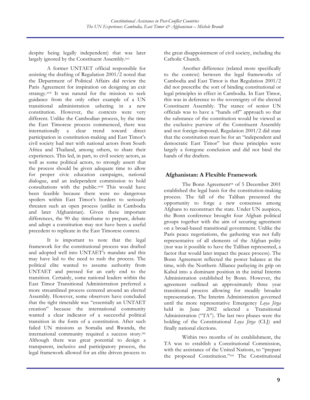despite being legally independent) that was later largely ignored by the Constituent Assembly.xvi

A former UNTAET official responsible for assisting the drafting of Regulation 2001/2 noted that the Department of Political Affairs did review the Paris Agreement for inspiration on designing an exit strategy.xvii It was natural for the mission to seek guidance from the only other example of a UN transitional administration ushering in a new constitution. However, the contexts were very different. Unlike the Cambodian process, by the time the East Timorese process commenced, there was internationally a clear trend toward direct participation in constitution-making and East Timor's civil society had met with national actors from South Africa and Thailand, among others, to share their experiences. This led, in part, to civil society actors, as well as some political actors, to strongly assert that the process should be given adequate time to allow for proper civic education campaigns, national dialogue, and an independent commission to hold consultations with the public.xviii This would have been feasible because there were no dangerous spoilers within East Timor's borders to seriously threaten such an open process (unlike in Cambodia and later Afghanistan). Given these important differences, the 90 day timeframe to prepare, debate and adopt a constitution may not have been a useful precedent to replicate in the East Timorese context.

It is important to note that the legal framework for the constitutional process was drafted and adopted well into UNTAET's mandate and this may have led to the need to rush the process. The political elite wanted to assume authority from UNTAET and pressed for an early end to the transition. Certainly, some national leaders within the East Timor Transitional Administration preferred a more streamlined process centered around an elected Assembly. However, some observers have concluded that the tight timetable was "essentially an UNTAET creation" because the international community wanted a clear indicator of a successful political transition in the form of a constitution. After such failed UN missions as Somalia and Rwanda, the international community required a success story.xix Although there was great potential to design a transparent, inclusive and participatory process, the legal framework allowed for an elite driven process to

the great disappointment of civil society, including the Catholic Church.

Another difference (related more specifically to the context) between the legal frameworks of Cambodia and East Timor is that Regulation 2001/2 did not prescribe the sort of binding constitutional or legal principles in effect in Cambodia. In East Timor, this was in deference to the sovereignty of the elected Constituent Assembly. The stance of senior UN officials was to have a "hands off" approach so that the substance of the constitution would be viewed as the exclusive purview of the Constituent Assembly and not foreign-imposed. Regulation 2001/2 did state that the constitution must be for an "independent and democratic East Timor" but these principles were largely a foregone conclusion and did not bind the hands of the drafters.

#### **Afghanistan: A Flexible Framework**

The Bonn Agreement<sup>xx</sup> of 5 December 2001 established the legal basis for the constitution-making process. The fall of the Taliban presented the opportunity to forge a new consensus among Afghans to reconstruct the state. Under UN auspices, the Bonn conference brought four Afghan political groups together with the aim of securing agreement on a broad-based transitional government. Unlike the Paris peace negotiations, the gathering was not fully representative of all elements of the Afghan polity (nor was it possible to have the Taliban represented, a factor that would later impact the peace process). The Bonn Agreement reflected the power balance at the time, with the Northern Alliance parlaying its grip on Kabul into a dominant position in the initial Interim Administration established by Bonn. However, the agreement outlined an approximately three year transitional process allowing for steadily broader representation. The Interim Administration governed until the more representative Emergency *Loya Jirga* held in June 2002 selected a Transitional Administration ("TA"). The last two phases were the holding of the Constitutional *Loya Jirga* (CLJ) and finally national elections.

Within two months of its establishment, the TA was to establish a Constitutional Commission, with the assistance of the United Nations, to "prepare the proposed Constitution."xxi The Constitutional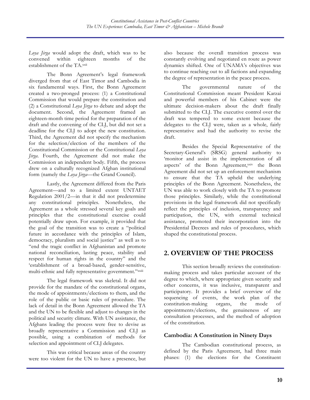*Loya Jirga* would adopt the draft, which was to be convened within eighteen months of the establishment of the TA.xxii

The Bonn Agreement's legal framework diverged from that of East Timor and Cambodia in six fundamental ways. First, the Bonn Agreement created a two-pronged process: (1) a Constitutional Commission that would prepare the constitution and (2) a Constitutional *Loya Jirga* to debate and adopt the document. Second, the Agreement framed an eighteen-month time period for the preparation of the draft and the convening of the CLJ, but did not set a deadline for the CLJ to adopt the new constitution. Third, the Agreement did not specify the mechanism for the selection/election of the members of the Constitutional Commission or the Constitutional *Loya Jirga*. Fourth, the Agreement did not make the Commission an independent body. Fifth, the process drew on a culturally recognized Afghan institutional form (namely the *Loya Jirga—*the Grand Council).

Lastly, the Agreement differed from the Paris Agreement—and to a limited extent UNTAET Regulation 2001/2—in that it did not predetermine any constitutional principles. Nonetheless, the Agreement as a whole stressed several key goals and principles that the constitutional exercise could potentially draw upon. For example, it provided that the goal of the transition was to create a "political future in accordance with the principles of Islam, democracy, pluralism and social justice" as well as to "end the tragic conflict in Afghanistan and promote national reconciliation, lasting peace, stability and respect for human rights in the country" and the 'establishment of a broad-based, gender-sensitive, multi-ethnic and fully representative government."xxiii

The legal framework was skeletal. It did not provide for the mandate of the constitutional organs, the mode of appointments/elections to them, and the role of the public or basic rules of procedure. The lack of detail in the Bonn Agreement allowed the TA and the UN to be flexible and adjust to changes in the political and security climate. With UN assistance, the Afghans leading the process were free to devise as broadly representative a Commission and CLJ as possible, using a combination of methods for selection and appointment of CLJ delegates.

This was critical because areas of the country were too violent for the UN to have a presence, but

also because the overall transition process was constantly evolving and negotiated en route as power dynamics shifted. One of UNAMA's objectives was to continue reaching out to all factions and expanding the degree of representation in the peace process.

The governmental nature of the Constitutional Commission meant President Karzai and powerful members of his Cabinet were the ultimate decision-makers about the draft finally submitted to the CLJ. The executive control over the draft was tempered to some extent because the delegates to the CLJ were, taken as a whole, fairly representative and had the authority to revise the draft.

Besides the Special Representative of the Secretary-General's (SRSG) general authority to 'monitor and assist in the implementation of all aspects' of the Bonn Agreement, xxiv the Bonn Agreement did not set up an enforcement mechanism to ensure that the TA upheld the underlying principles of the Bonn Agreement. Nonetheless, the UN was able to work closely with the TA to promote those principles. Similarly, while the constitutional provisions in the legal framework did not specifically reflect the principles of inclusion, transparency and participation, the UN, with external technical assistance, promoted their incorporation into the Presidential Decrees and rules of procedures, which shaped the constitutional process.

# **2. OVERVIEW OF THE PROCESS**

This section broadly reviews the constitutionmaking process and takes particular account of the degree to which, where appropriate given security and other concerns, it was inclusive, transparent and participatory. It provides a brief overview of the sequencing of events, the work plan of the constitution-making organs, the mode of appointments/elections, the genuineness of any consultation processes, and the method of adoption of the constitution.

#### **Cambodia: A Constitution in Ninety Days**

The Cambodian constitutional process, as defined by the Paris Agreement, had three main phases: (1) the elections for the Constituent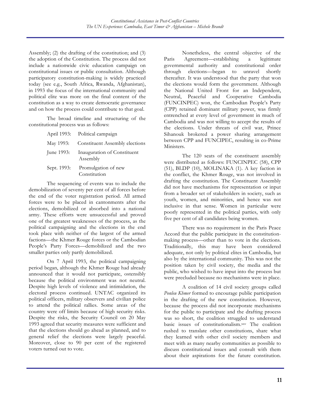Assembly; (2) the drafting of the constitution; and (3) the adoption of the Constitution. The process did not include a nationwide civic education campaign on constitutional issues or public consultation. Although participatory constitution-making is widely practiced today (see e.g., South Africa, Rwanda, Afghanistan), in 1993 the focus of the international community and political elite was more on the final content of the constitution as a way to create democratic governance and on how the process could contribute to that goal.

The broad timeline and structuring of the constitutional process was as follows:

|             | April 1993: Political campaign          |
|-------------|-----------------------------------------|
| May 1993:   | Constituent Assembly elections          |
| June 1993:  | Inauguration of Constituent<br>Assembly |
| Sept. 1993: | Promulgation of new                     |
|             | Constitution                            |

The sequencing of events was to include the demobilization of seventy per cent of all forces before the end of the voter registration period. All armed forces were to be placed in cantonments after the elections, demobilized or absorbed into a national army. These efforts were unsuccessful and proved one of the greatest weaknesses of the process, as the political campaigning and the elections in the end took place with neither of the largest of the armed factions—the Khmer Rouge forces or the Cambodian People's Party Forces—demobilized and the two smaller parties only partly demobilized.

On 7 April 1993, the political campaigning period began, although the Khmer Rouge had already announced that it would not participate, ostensibly because the political environment was not neutral. Despite high levels of violence and intimidation, the electoral process continued. UNTAC organized its political officers, military observers and civilian police to attend the political rallies. Some areas of the country were off limits because of high security risks. Despite the risks, the Security Council on 20 May 1993 agreed that security measures were sufficient and that the elections should go ahead as planned, and to general relief the elections were largely peaceful. Moreover, close to 90 per cent of the registered voters turned out to vote.

Nonetheless, the central objective of the Paris Agreement—establishing a legitimate governmental authority and constitutional order through elections—began to unravel shortly thereafter. It was understood that the party that won the elections would form the government. Although the National United Front for an Independent, Neutral, Peaceful and Cooperative Cambodia (FUNCINPEC) won, the Cambodian People's Party (CPP) retained dominant military power, was firmly entrenched at every level of government in much of Cambodia and was not willing to accept the results of the elections. Under threats of civil war, Prince Sihanouk brokered a power sharing arrangement between CPP and FUNCIPEC, resulting in co-Prime Ministers.

The 120 seats of the constituent assembly were distributed as follows: FUNCINPEC (58), CPP (51), BLDP (10), MOLINAKA (1). A key faction in the conflict, the Khmer Rouge, was not involved in drafting the constitution. The Constituent Assembly did not have mechanisms for representation or input from a broader set of stakeholders in society, such as youth, women, and minorities, and hence was not inclusive in that sense. Women in particular were poorly represented in the political parties, with only five per cent of all candidates being women.

There was no requirement in the Paris Peace Accord that the public participate in the constitutionmaking process—other than to vote in the elections. Traditionally, this may have been considered adequate, not only by political elites in Cambodia, but also by the international community. This was not the position taken by civil society, the media and the public, who wished to have input into the process but were precluded because no mechanisms were in place.

A coalition of 14 civil society groups called *Ponleu Khmer* formed to encourage public participation in the drafting of the new constitution. However, because the process did not incorporate mechanisms for the public to participate and the drafting process was so short, the coalition struggled to understand basic issues of constitutionalism.xxv The coalition rushed to translate other constitutions, share what they learned with other civil society members and meet with as many nearby communities as possible to discuss constitutional issues and consult with them about their aspirations for the future constitution.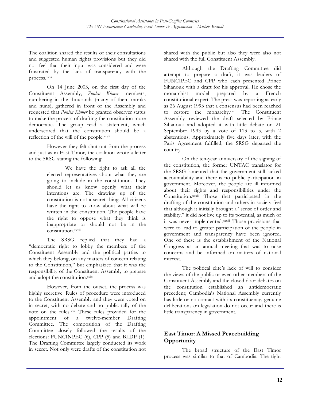The coalition shared the results of their consultations and suggested human rights provisions but they did not feel that their input was considered and were frustrated by the lack of transparency with the process.xxvi

On 14 June 2003, on the first day of the Constituent Assembly, *Ponleu Khmer* members, numbering in the thousands (many of them monks and nuns), gathered in front of the Assembly and requested that *Ponleu Khmer* be granted observer status to make the process of drafting the constitution more democratic. The group read a statement, which underscored that the constitution should be a reflection of the will of the people.<sup>xxvii</sup>

However they felt shut out from the process and just as in East Timor, the coalition wrote a letter to the SRSG stating the following:

> We have the right to ask all the elected representatives about what they are going to include in the constitution. They should let us know openly what their intentions are. The drawing up of the constitution is not a secret thing. All citizens have the right to know about what will be written in the constitution. The people have the right to oppose what they think is inappropriate or should not be in the constitution.xxviii

The SRSG replied that they had a "democratic right to lobby the members of the Constituent Assembly and the political parties to which they belong, on any matters of concern relating to the Constitution," but emphasized that it was the responsibility of the Constituent Assembly to prepare and adopt the constitution.xxix

However, from the outset, the process was highly secretive. Rules of procedure were introduced to the Constituent Assembly and they were voted on in secret, with no debate and no public tally of the vote on the rules.xxx These rules provided for the appointment of a twelve-member Drafting Committee. The composition of the Drafting Committee closely followed the results of the elections: FUNCINPEC (6), CPP (5) and BLDP (1). The Drafting Committee largely conducted its work in secret. Not only were drafts of the constitution not

shared with the public but also they were also not shared with the full Constituent Assembly.

Although the Drafting Committee did attempt to prepare a draft, it was leaders of FUNCIPEC and CPP who each presented Prince Sihanouk with a draft for his approval. He chose the monarchist model prepared by a French constitutional expert. The press was reporting as early as 26 August 1993 that a consensus had been reached to restore the monarchy.xxxi The Constituent Assembly reviewed the draft selected by Prince Sihanouk and adopted it with little debate on 21 September 1993 by a vote of 113 to 5, with 2 abstentions. Approximately five days later, with the Paris Agreement fulfilled, the SRSG departed the country.

On the ten-year anniversary of the signing of the constitution, the former UNTAC translator for the SRSG lamented that the government still lacked accountability and there is no public participation in government. Moreover, the people are ill informed about their rights and responsibilities under the Constitution.xxxii Those that participated in the drafting of the constitution and others in society feel that although it initially brought a "sense of order and stability," it did not live up to its potential, as much of it was never implemented.xxxiii Those provisions that were to lead to greater participation of the people in government and transparency have been ignored. One of these is the establishment of the National Congress as an annual meeting that was to raise concerns and be informed on matters of national interest.

The political elite's lack of will to consider the views of the public or even other members of the Constituent Assembly and the closed door debates on the constitution established an antidemocratic precedent; Cambodia's National Assembly currently has little or no contact with its constituency, genuine deliberations on legislation do not occur and there is little transparency in government.

#### **East Timor: A Missed Peacebuilding Opportunity**

The broad structure of the East Timor process was similar to that of Cambodia. The tight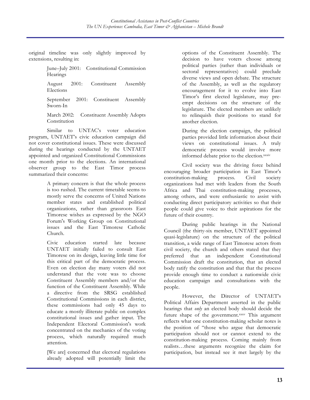original timeline was only slightly improved by extensions, resulting in:

> June–July 2001: Constitutional Commission Hearings

> August 2001: Constituent Assembly Elections

> September 2001: Constituent Assembly Sworn-In

> March 2002: Constituent Assembly Adopts Constitution

Similar to UNTAC's voter education program, UNTAET's civic education campaign did not cover constitutional issues. These were discussed during the hearings conducted by the UNTAET appointed and organized Constitutional Commissions one month prior to the elections. An international observer group to the East Timor process summarized their concerns:

> A primary concern is that the whole process is too rushed. The current timetable seems to mostly serve the concerns of United Nations member states and established political organizations, rather than grassroots East Timorese wishes as expressed by the NGO Forum's Working Group on Constitutional issues and the East Timorese Catholic Church.

> Civic education started late because UNTAET initially failed to consult East Timorese on its design, leaving little time for this critical part of the democratic process. Even on election day many voters did not understand that the vote was to choose Constituent Assembly members and/or the function of the Constituent Assembly. While a directive from the SRSG established Constitutional Commissions in each district, these commissions had only 45 days to educate a mostly illiterate public on complex constitutional issues and gather input. The Independent Electoral Commission's work concentrated on the mechanics of the voting process, which naturally required much attention.

[We are] concerned that electoral regulations already adopted will potentially limit the options of the Constituent Assembly. The decision to have voters choose among political parties (rather than individuals or sectoral representatives) could preclude diverse views and open debate. The structure of the Assembly, as well as the regulatory encouragement for it to evolve into East Timor's first elected legislature, may preempt decisions on the structure of the legislature. The elected members are unlikely to relinquish their positions to stand for another election.

During the election campaign, the political parties provided little information about their views on constitutional issues. A truly democratic process would involve more informed debate prior to the election.xxxiv

Civil society was the driving force behind encouraging broader participation in East Timor's constitution-making process*.* Civil society organizations had met with leaders from the South Africa and Thai constitution-making processes, among others, and were enthusiastic to assist with conducting direct participatory activities so that their people could give voice to their aspirations for the future of their country.

During public hearings in the National Council (the thirty-six member, UNTAET appointed quasi-legislature) on the structure of the political transition, a wide range of East Timorese actors from civil society, the church and others stated that they preferred that an independent Constitutional Commission draft the constitution, that an elected body ratify the constitution and that that the process provide enough time to conduct a nationwide civic education campaign and consultations with the people.

However, the Director of UNTAET's Political Affairs Department asserted in the public hearings that *only* an elected body should decide the future shape of the government.xxxv This argument reflects what one constitution-making scholar notes is the position of "those who argue that democratic participation should not or cannot extend to the constitution-making process. Coming mainly from realists…these arguments recognize the claim for participation, but instead see it met largely by the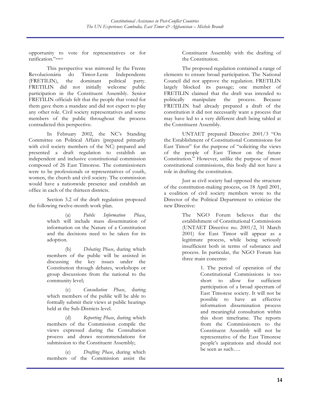opportunity to vote for representatives or for ratification."xxxvi

This perspective was mirrored by the Frente Revolucionária do Timor-Leste Independente (FRETILIN), the dominant political party. FRETILIN did not initially welcome public participation in the Constituent Assembly. Senior FRETILIN officials felt that the people that voted for them gave them a mandate and did not expect to play any other role. Civil society representatives and some members of the public throughout the process contradicted this perspective.

In February 2002, the NC's Standing Committee on Political Affairs (prepared primarily with civil society members of the NC) prepared and presented a draft regulation to establish an independent and inclusive constitutional commission composed of 26 East Timorese. The commissioners were to be professionals or representatives of youth, women, the church and civil society. The commission would have a nationwide presence and establish an office in each of the thirteen districts.

Section 3.2 of the draft regulation proposed the following twelve-month work plan.

> (a) *Public Information Phase*, which will include mass dissemination of information on the Nature of a Constitution and the decisions need to be taken for its adoption.

> (b) *Debating Phase*, during which members of the public will be assisted in discussing the key issues under the Constitution through debates, workshops or group discussions from the national to the community level;

> (c) *Consultation Phase*, during which members of the public will be able to formally submit their views at public hearings held at the Sub-Districts level.

> (d) *Reporting Phase*, during which members of the Commission compile the views expressed during the Consultation process and draws recommendations for submission to the Constituent Assembly;

> (e) *Drafting Phase*, during which members of the Commission assist the

Constituent Assembly with the drafting of the Constitution.

The proposed regulation contained a range of elements to ensure broad participation. The National Council did not approve the regulation. FRETILIN largely blocked its passage; one member of FRETILIN claimed that the draft was intended to politically manipulate the process. Because FRETILIN had already prepared a draft of the constitution it did not necessarily want a process that may have led to a very different draft being tabled at the Constituent Assembly.

UNTAET prepared Directive 2001/3 "On the Establishment of Constitutional Commissions for East Timor" for the purpose of "soliciting the views of the people of East Timor on the future Constitution." However, unlike the purpose of most constitutional commissions, this body did not have a role in drafting the constitution.

Just as civil society had opposed the structure of the constitution-making process, on 18 April 2001, a coalition of civil society members wrote to the Director of the Political Department to criticize the new Directive:

> The NGO Forum believes that the establishment of Constitutional Commissions (UNTAET Directive no. 2001/2, 31 March 2001) for East Timor will appear as a legitimate process, while being seriously insufficient both in terms of substance and process. In particular, the NGO Forum has three main concerns:

> > 1. The period of operation of the Constitutional Commissions is too short to allow for sufficient participation of a broad spectrum of East Timorese society. It will not be possible to have an effective information dissemination process and meaningful consultation within this short timeframe. The reports from the Commissioners to the Constituent Assembly will not be representative of the East Timorese people's aspirations and should not be seen as such….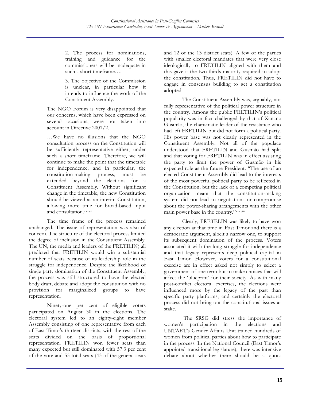2. The process for nominations, training and guidance for the commissioners will be inadequate in such a short timeframe….

3. The objective of the Commission is unclear, in particular how it intends to influence the work of the Constituent Assembly.

The NGO Forum is very disappointed that our concerns, which have been expressed on several occasions, were not taken into account in Directive 2001/2.

…We have no illusions that the NGO consultation process on the Constitution will be sufficiently representative either, under such a short timeframe. Therefore, we will continue to make the point that the timetable for independence, and in particular, the constitution-making process, must be extended beyond the elections for a Constituent Assembly. Without significant change in the timetable, the new Constitution should be viewed as an interim Constitution, allowing more time for broad-based input and consultation.xxxvii

The time frame of the process remained unchanged. The issue of representation was also of concern. The structure of the electoral process limited the degree of inclusion in the Constituent Assembly. The UN, the media and leaders of the FRETILIN) all predicted that FRETILIN would win a substantial number of seats because of its leadership role in the struggle for independence. Despite the likelihood of single party domination of the Constituent Assembly, the process was still structured to have the elected body draft, debate and adopt the constitution with no provision for marginalized groups to have representation.

Ninety-one per cent of eligible voters participated on August 30 in the elections. The electoral system led to an eighty-eight member Assembly consisting of one representative from each of East Timor's thirteen districts, with the rest of the seats divided on the basis of proportional representation. FRETILIN won fewer seats than many expected but still dominated with 57.3 per cent of the vote and 55 total seats (43 of the general seats

and 12 of the 13 district seats). A few of the parties with smaller electoral mandates that were very close ideologically to FRETILIN aligned with them and this gave it the two-thirds majority required to adopt the constitution. Thus, FRETILIN did not have to engage in consensus building to get a constitution adopted.

The Constituent Assembly was, arguably, not fully representative of the political power structure in the country. Among the public FRETILIN's political popularity was in fact challenged by that of Xanana Gusmão, the charismatic leader of the resistance who had left FRETILIN but did not form a political party. His power base was not clearly represented in the Constituent Assembly. Not all of the populace understood that FRETILIN and Gusmão had split and that voting for FRETILIN was in effect assisting the party to limit the power of Gusmão in his expected role as the future President. "The use of an elected Constituent Assembly did lead to the interests of the most powerful political party to be reflected in the Constitution, but the lack of a competing political organization meant that the constitution-making system did not lead to negotiations or compromise about the power-sharing arrangements with the other main power base in the country." xxxviii

Clearly, FRETELIN was likely to have won any election at that time in East Timor and there is a democratic argument, albeit a narrow one, to support its subsequent domination of the process. Voters associated it with the long struggle for independence and that legacy represents deep political capital in East Timor. However, voters for a constitutional exercise are in effect asked not simply to select a government of one term but to make choices that will affect the 'blueprint' for their society. As with many post-conflict electoral exercises, the elections were influenced more by the legacy of the past than specific party platforms, and certainly the electoral process did not bring out the constitutional issues at stake.

The SRSG did stress the importance of women's participation in the elections and UNTAET's Gender Affairs Unit trained hundreds of women from political parties about how to participate in the process. In the National Council (East Timor's appointed transitional legislature), there was intensive debate about whether there should be a quota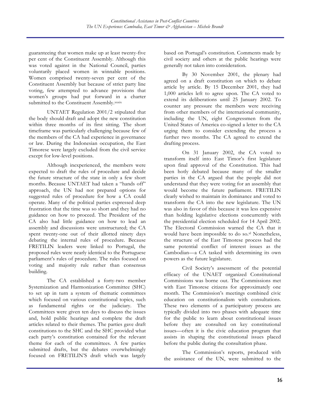guaranteeing that women make up at least twenty-five per cent of the Constituent Assembly. Although this was voted against in the National Council, parties voluntarily placed women in winnable positions. Women comprised twenty-seven per cent of the Constituent Assembly but because of strict party line voting, few attempted to advance provisions that women's groups had put forward in a charter submitted to the Constituent Assembly.xxxix

UNTAET Regulation 2001/2 stipulated that the body should draft and adopt the new constitution within three months of its first sitting. The short timeframe was particularly challenging because few of the members of the CA had experience in governance or law. During the Indonesian occupation, the East Timorese were largely excluded from the civil service except for low-level positions.

Although inexperienced, the members were expected to draft the rules of procedure and decide the future structure of the state in only a few short months. Because UNTAET had taken a "hands off" approach, the UN had not prepared options for suggested rules of procedure for how a CA could operate. Many of the political parties expressed deep frustration that the time was so short and they had no guidance on how to proceed. The President of the CA also had little guidance on how to lead an assembly and discussions were unstructured; the CA spent twenty-one out of their allotted ninety days debating the internal rules of procedure. Because FRETILIN leaders were linked to Portugal, the proposed rules were nearly identical to the Portuguese parliament's rules of procedure. The rules focused on voting and majority rule rather than consensus building.

The CA established a forty-two member Systemization and Harmonization Committee (SHC) to set up in turn a system of thematic committees which focused on various constitutional topics, such as fundamental rights or the judiciary. The Committees were given ten days to discuss the issues and, hold public hearings and complete the draft articles related to their themes. The parties gave draft constitutions to the SHC and the SHC provided what each party's constitution contained for the relevant theme for each of the committees. A few parties submitted drafts, but the debates overwhelmingly focused on FRETILIN'S draft which was largely

based on Portugal's constitution. Comments made by civil society and others at the public hearings were generally not taken into consideration.

By 30 November 2001, the plenary had agreed on a draft constitution on which to debate article by article. By 15 December 2001, they had 1,000 articles left to agree upon. The CA voted to extend its deliberations until 25 January 2002. To counter any pressure the members were receiving from other members of the international community, including the UN, eight Congressmen from the United States of America co-signed a letter to the CA urging them to consider extending the process a further two months. The CA agreed to extend the drafting process.

On 31 January 2002, the CA voted to transform itself into East Timor's first legislature upon final approval of the Constitution. This had been hotly debated because many of the smaller parties in the CA argued that the people did not understand that they were voting for an assembly that would become the future parliament. FRETILIN clearly wished to maintain its dominance and voted to transform the CA into the new legislature. The UN was also in favor of this because it was less expensive than holding legislative elections concurrently with the presidential election scheduled for 14 April 2002. The Electoral Commission warned the CA that it would have been impossible to do so.<sup>xl</sup> Nonetheless, the structure of the East Timorese process had the same potential conflict of interest issues as the Cambodian—a CA tasked with determining its own powers as the future legislature.

Civil Society's assessment of the potential efficacy of the UNAET organized Constitutional Commissions was borne out. The Commissions met with East Timorese citizens for approximately one month. The Commission's meetings combined civic education on constitutionalism with consultations. These two elements of a participatory process are typically divided into two phases with adequate time for the public to learn about constitutional issues before they are consulted on key constitutional issues—often it is the civic education program that assists in shaping the constitutional issues placed before the public during the consultation phase.

The Commission's reports, produced with the assistance of the UN, were submitted to the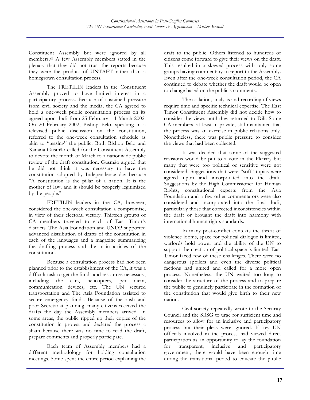Constituent Assembly but were ignored by all members.xli A few Assembly members stated in the plenary that they did not trust the reports because they were the product of UNTAET rather than a homegrown consultation process.

The FRETILIN leaders in the Constituent Assembly proved to have limited interest in a participatory process. Because of sustained pressure from civil society and the media, the CA agreed to hold a one-week public consultation process on its agreed-upon draft from 25 February – 1 March 2002. On 20 February 2002, Bishop Belo, speaking in a televised public discussion on the constitution, referred to the one-week consultation schedule as akin to "teasing" the public. Both Bishop Belo and Xanana Gusmão called for the Constituent Assembly to devote the month of March to a nationwide public review of the draft constitution. Gusmão argued that he did not think it was necessary to have the constitution adopted by Independence day because "A constitution is the pillar of a nation. It is the mother of law, and it should be properly legitimized by the people."

FRETILIN leaders in the CA, however, considered the one-week consultation a compromise, in view of their electoral victory. Thirteen groups of CA members traveled to each of East Timor's districts. The Asia Foundation and UNDP supported advanced distribution of drafts of the constitution in each of the languages and a magazine summarizing the drafting process and the main articles of the constitution.

Because a consultation process had not been planned prior to the establishment of the CA, it was a difficult task to get the funds and resources necessary, including the cars, helicopters, per diem, communication devices, etc. The UN secured transportation and The Asia Foundation assisted to secure emergency funds. Because of the rush and poor Secretariat planning, many citizens received the drafts the day the Assembly members arrived. In some areas, the public ripped up their copies of the constitution in protest and declared the process a sham because there was no time to read the draft, prepare comments and properly participate.

Each team of Assembly members had a different methodology for holding consultation meetings. Some spent the entire period explaining the draft to the public. Others listened to hundreds of citizens come forward to give their views on the draft. This resulted in a skewed process with only some groups having commentary to report to the Assembly. Even after the one-week consultation period, the CA continued to debate whether the draft would be open to change based on the public's comments.

The collation, analysis and recording of views require time and specific technical expertise. The East Timor Constituent Assembly did not decide how to consider the views until they returned to Dili. Some CA members, at least in private, still maintained that the process was an exercise in public relations only. Nonetheless, there was public pressure to consider the views that had been collected.

It was decided that some of the suggested revisions would be put to a vote in the Plenary but many that were too political or sensitive were not considered. Suggestions that were "soft" topics were agreed upon and incorporated into the draft. Suggestions by the High Commissioner for Human Rights, constitutional experts from the Asia Foundation and a few other commentators were also considered and incorporated into the final draft, particularly those that corrected inconsistencies within the draft or brought the draft into harmony with international human rights standards.

In many post-conflict contexts the threat of violence looms, space for political dialogue is limited, warlords hold power and the ability of the UN to support the creation of political space is limited. East Timor faced few of these challenges. There were no dangerous spoilers and even the diverse political factions had united and called for a more open process. Nonetheless, the UN waited too long to consider the structure of the process and to prepare the public to genuinely participate in the formation of the constitution that would give birth to their new nation.

Civil society repeatedly wrote to the Security Council and the SRSG to urge for sufficient time and resources to allow for an inclusive and participatory process but their pleas were ignored. If key UN officials involved in the process had viewed direct participation as an opportunity to lay the foundation for transparent, inclusive and participatory government, there would have been enough time during the transitional period to educate the public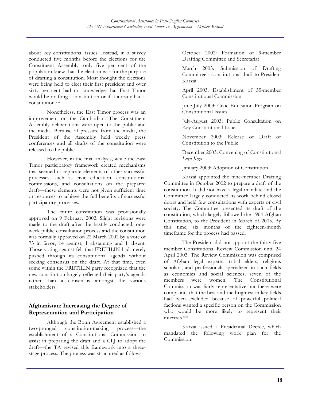about key constitutional issues. Instead, in a survey conducted five months before the elections for the Constituent Assembly, only five per cent of the population knew that the election was for the purpose of drafting a constitution. Most thought the elections were being held to elect their first president and over sixty per cent had no knowledge that East Timor would be drafting a constitution or if it already had a constitution.xlii

Nonetheless, the East Timor process was an improvement on the Cambodian. The Constituent Assembly deliberations were open to the public and the media. Because of pressure from the media, the President of the Assembly held weekly press conferences and all drafts of the constitution were released to the public.

However, in the final analysis, while the East Timor participatory framework created mechanisms that seemed to replicate elements of other successful processes, such as civic education, constitutional commissions, and consultations on the prepared draft—these elements were not given sufficient time or resources to achieve the full benefits of successful participatory processes.

The entire constitution was provisionally approved on 9 February 2002. Slight revisions were made to the draft after the hastily conducted, oneweek public consultation process and the constitution was formally approved on 22 March 2002 by a vote of 73 in favor, 14 against, 1 abstaining and 1 absent. Those voting against felt that FRETILIN had merely pushed through its constitutional agenda without seeking consensus on the draft. At that time, even some within the FRETILIN party recognized that the new constitution largely reflected their party's agenda rather than a consensus amongst the various stakeholders.

#### **Afghanistan: Increasing the Degree of Representation and Participation**

Although the Bonn Agreement established a two-pronged constitution-making process—the establishment of a Constitutional Commission to assist in preparing the draft and a CLJ to adopt the draft—the TA revised this framework into a threestage process. The process was structured as follows:

October 2002: Formation of 9-member Drafting Committee and Secretariat

March 2003: Submission of Drafting Committee's constitutional draft to President Karzai

April 2003: Establishment of 35-member Constitutional Commission

June-July 2003: Civic Education Program on Constitutional Issues

July-August 2003: Public Consultation on Key Constitutional Issues

November 2003: Release of Draft of Constitution to the Public

December 2003: Convening of Constitutional *Loya Jirga*

January 2003: Adoption of Constitution

Karzai appointed the nine-member Drafting Committee in October 2002 to prepare a draft of the constitution. It did not have a legal mandate and the Committee largely conducted its work behind closed doors and held few consultations with experts or civil society. The Committee presented its draft of the constitution, which largely followed the 1964 Afghan Constitution, to the President in March of 2003. By this time, six months of the eighteen-month timeframe for the process had passed.

The President did not appoint the thirty-five member Constitutional Review Commission until 24 April 2003. The Review Commission was comprised of Afghan legal experts, tribal elders, religious scholars, and professionals specialized in such fields as economics and social sciences; seven of the members were women. The Constitutional Commission was fairly representative but there were complaints that the best and the brightest in key fields had been excluded because of powerful political factions wanted a specific person on the Commission who would be more likely to represent their interests.xliii

Karzai issued a Presidential Decree, which mandated the following work plan for the Commission: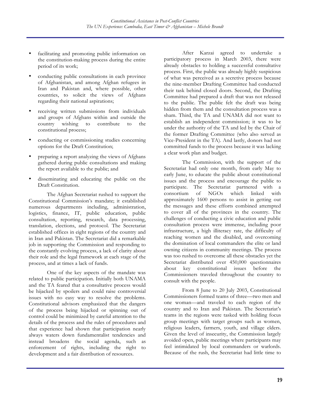- facilitating and promoting public information on the constitution-making process during the entire period of its work;
- conducting public consultations in each province of Afghanistan, and among Afghan refugees in Iran and Pakistan and, where possible, other countries, to solicit the views of Afghans regarding their national aspirations;
- receiving written submissions from individuals and groups of Afghans within and outside the country wishing to contribute to the constitutional process;
- conducting or commissioning studies concerning options for the Draft Constitution;
- preparing a report analyzing the views of Afghans gathered during public consultations and making the report available to the public; and
- disseminating and educating the public on the Draft Constitution.

The Afghan Secretariat rushed to support the Constitutional Commission's mandate; it established numerous departments including, administration, logistics, finance, IT, public education, public consultation, reporting, research, data processing, translation, elections, and protocol. The Secretariat established offices in eight regions of the country and in Iran and Pakistan. The Secretariat did a remarkable job in supporting the Commission and responding to the constantly evolving process, a lack of clarity about their role and the legal framework at each stage of the process, and at times a lack of funds.

One of the key aspects of the mandate was related to public participation. Initially both UNAMA and the TA feared that a consultative process would be hijacked by spoilers and could raise controversial issues with no easy way to resolve the problems. Constitutional advisors emphasized that the dangers of the process being hijacked or spinning out of control could be minimized by careful attention to the details of the process and the rules of procedures and that experience had shown that participation nearly always waters down fundamentalist tendencies and instead broadens the social agenda, such as enforcement of rights, including the right to development and a fair distribution of resources.

After Karzai agreed to undertake a participatory process in March 2003, there were already obstacles to holding a successful consultative process. First, the public was already highly suspicious of what was perceived as a secretive process because the nine-member Drafting Committee had conducted their task behind closed doors. Second, the Drafting Committee had prepared a draft that was not released to the public. The public felt the draft was being hidden from them and the consultation process was a sham. Third, the TA and UNAMA did not want to establish an independent commission; it was to be under the authority of the TA and led by the Chair of the former Drafting Committee (who also served as Vice-President in the TA). And lastly, donors had not committed funds to the process because it was lacking a clear work plan and budget.

The Commission, with the support of the Secretariat had only one month, from early May to early June, to educate the public about constitutional issues and the process and encourage the public to participate. The Secretariat partnered with a consortium of NGOs which linked with approximately 1600 persons to assist in getting out the messages and these efforts combined attempted to cover all of the provinces in the country. The challenges of conducting a civic education and public consultation process were immense, including poor infrastructure, a high illiteracy rate, the difficulty of reaching women and the disabled, and overcoming the domination of local commanders the elite or land owning citizens in community meetings. The process was too rushed to overcome all these obstacles yet the Secretariat distributed over 450,000 questionnaires about key constitutional issues before the Commissioners traveled throughout the country to consult with the people.

From 8 June to 20 July 2003, Constitutional Commissioners formed teams of three—two men and one woman—and traveled to each region of the country and to Iran and Pakistan. The Secretariat's teams in the regions were tasked with holding focus group meetings with target groups such as women, religious leaders, farmers, youth, and village elders. Given the level of insecurity, the Commission largely avoided open, public meetings where participants may feel intimidated by local commanders or warlords. Because of the rush, the Secretariat had little time to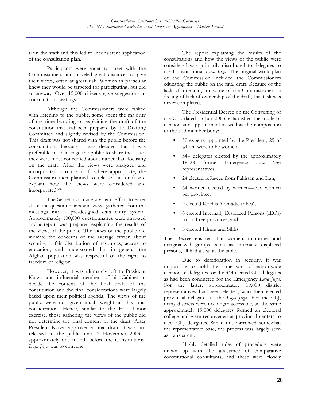train the staff and this led to inconsistent application of the consultation plan.

Participants were eager to meet with the Commissioners and traveled great distances to give their views, often at great risk. Women in particular knew they would be targeted for participating, but did so anyway. Over 15,000 citizens gave suggestions at consultation meetings.

Although the Commissioners were tasked with listening to the public, some spent the majority of the time lecturing or explaining the draft of the constitution that had been prepared by the Drafting Committee and slightly revised by the Commission. This draft was not shared with the public before the consultations because it was decided that it was preferable to encourage the public to share the issues they were most concerned about rather than focusing on the draft. After the views were analyzed and incorporated into the draft where appropriate, the Commission then planned to release this draft and explain how the views were considered and incorporated.xliv

The Secretariat made a valiant effort to enter all of the questionnaires and views gathered from the meetings into a pre-designed data entry system. Approximately 100,000 questionnaires were analyzed and a report was prepared explaining the results of the views of the public. The views of the public did indicate the concerns of the average citizen about security, a fair distribution of resources, access to education, and underscored that in general the Afghan population was respectful of the right to freedom of religion.

However, it was ultimately left to President Karzai and influential members of his Cabinet to decide the content of the final draft of the constitution and the final considerations were largely based upon their political agenda. The views of the public were not given much weight in this final consideration. Hence, similar to the East Timor exercise, those gathering the views of the public did not determine the final content of the draft. After President Karzai approved a final draft, it was not released to the public until 3 November 2003 approximately one month before the Constitutional *Loya Jirga* was to convene.

The report explaining the results of the consultations and how the views of the public were considered was primarily distributed to delegates to the Constitutional *Loya Jirga*. The original work plan of the Commission included the Commissioners educating the public on the final draft. Because of the lack of time and, for some of the Commissioners, a feeling of lack of ownership of the draft, this task was never completed.

The Presidential Decree on the Convening of the CLJ, dated 15 July 2003, established the mode of election and appointment as well as the composition of the 500-member body:

- 50 experts appointed by the President, 25 of whom were to be women;
- 344 delegates elected by the approximately 18,000 former Emergency *Loya Jirga* representatives;
- 24 elected refugees from Pakistan and Iran;
- 64 women elected by women—two women per province;
- 9 elected Kochis (nomadic tribes);
- 6 elected Internally Displaced Persons (IDPs) from three provinces; and
- 3 elected Hindu and Sikhs.

The Decree ensured that women, minorities and marginalized groups, such as internally displaced persons, all had a seat at the table.

Due to deterioration in security, it was impossible to hold the same sort of nation-wide election of delegates for the 344 elected CLJ delegates as had been conducted for the Emergency *Loya Jirga*. For the latter, approximately 19,000 district representatives had been elected, who then elected provincial delegates to the *Loya Jirga*. For the CLJ, many districts were no longer accessible, so the same approximately 19,000 delegates formed an electoral college and were reconvened at provincial centers to elect CLJ delegates. While this narrowed somewhat the representative base, the process was largely seen as transparent.

Highly detailed rules of procedure were drawn up with the assistance of comparative constitutional consultants, and these were closely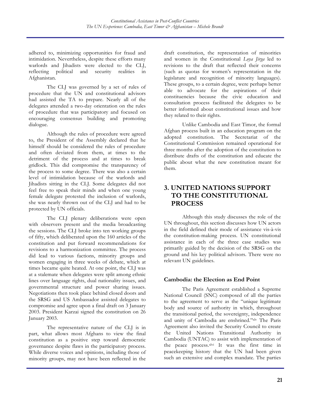adhered to, minimizing opportunities for fraud and intimidation. Nevertheless, despite these efforts many warlords and Jihadists were elected to the CLJ, reflecting political and security realities in Afghanistan.

The CLJ was governed by a set of rules of procedure that the UN and constitutional advisors had assisted the TA to prepare. Nearly all of the delegates attended a two-day orientation on the rules of procedure that was participatory and focused on encouraging consensus building and promoting dialogue.

Although the rules of procedure were agreed to, the President of the Assembly declared that he himself should be considered the rules of procedure and often deviated from them, at times to the detriment of the process and at times to break gridlock. This did compromise the transparency of the process to some degree. There was also a certain level of intimidation because of the warlords and Jihadists sitting in the CLJ. Some delegates did not feel free to speak their minds and when one young female delegate protested the inclusion of warlords, she was nearly thrown out of the CLJ and had to be protected by UN officials.

The CLJ plenary deliberations were open with observers present and the media broadcasting the sessions. The CLJ broke into ten working groups of fifty, which deliberated upon the 160 articles of the constitution and put forward recommendations for revisions to a harmonization committee. The process did lead to various factions, minority groups and women engaging in three weeks of debate, which at times became quite heated. At one point, the CLJ was at a stalemate when delegates were split among ethnic lines over language rights, dual nationality issues, and governmental structure and power sharing issues. Negotiations then took place behind closed doors and the SRSG and US Ambassador assisted delegates to compromise and agree upon a final draft on 3 January 2003. President Karzai signed the constitution on 26 January 2003.

The representative nature of the CLJ is in part, what allows most Afghans to view the final constitution as a positive step toward democratic governance despite flaws in the participatory process. While diverse voices and opinions, including those of minority groups, may not have been reflected in the draft constitution, the representation of minorities and women in the Constitutional *Loya Jirga* led to revisions to the draft that reflected their concerns (such as quotas for women's representation in the legislature and recognition of minority languages). These groups, to a certain degree, were perhaps better able to advocate for the aspirations of their constituencies because the civic education and consultation process facilitated the delegates to be better informed about constitutional issues and how they related to their rights.

Unlike Cambodia and East Timor, the formal Afghan process built in an education program on the adopted constitution. The Secretariat of the Constitutional Commission remained operational for three months after the adoption of the constitution to distribute drafts of the constitution and educate the public about what the new constitution meant for them.

# **3. UNITED NATIONS SUPPORT TO THE CONSTITUTIONAL PROCESS**

Although this study discusses the role of the UN throughout, this section discusses how UN actors in the field defined their mode of assistance vis-à-vis the constitution-making process. UN constitutional assistance in each of the three case studies was primarily guided by the decision of the SRSG on the ground and his key political advisors. There were no relevant UN guidelines.

#### **Cambodia: the Election as End Point**

The Paris Agreement established a Supreme National Council (SNC) composed of all the parties to the agreement to serve as the "unique legitimate body and source of authority in which, throughout the transitional period, the sovereignty, independence and unity of Cambodia are enshrined."xlv The Paris Agreement also invited the Security Council to create the United Nations Transitional Authority in Cambodia (UNTAC) to assist with implementation of the peace process.<sup>xlvi</sup> It was the first time in peacekeeping history that the UN had been given such an extensive and complex mandate. The parties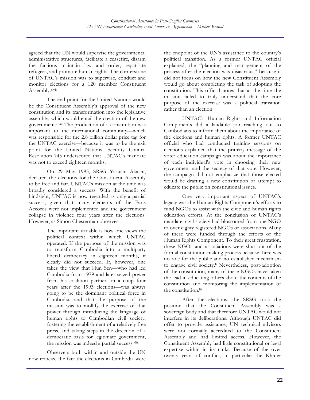agreed that the UN would supervise the governmental administrative structures, facilitate a ceasefire, disarm the factions maintain law and order, repatriate refugees, and promote human rights. The cornerstone of UNTAC's mission was to supervise, conduct and monitor elections for a 120 member Constituent Assembly.xlvii

The end point for the United Nations would be the Constituent Assembly's approval of the new constitution and its transformation into the legislative assembly, which would entail the creation of the new government.xlviii The production of a constitution was important to the international community—which was responsible for the 2.8 billion dollar price tag for the UNTAC exercise—because it was to be the exit point for the United Nations. Security Council Resolution 745 underscored that UNTAC's mandate was not to exceed eighteen months.

On 29 May 1993, SRSG Yasushi Akashi, declared the elections for the Constituent Assembly to be free and fair. UNTAC's mission at the time was broadly considered a success. With the benefit of hindsight, UNTAC is now regarded as only a partial success, given that many elements of the Paris Accords were not implemented and the government collapse in violence four years after the elections. However, as Simon Chesterman observes:

> The important variable is how one views the political context within which UNTAC operated. If the purpose of the mission was to transform Cambodia into a multiparty liberal democracy in eighteen months, it clearly did not succeed. If, however, one takes the view that Hun Sen—who had led Cambodia from 1979 and later seized power from his coalition partners in a coup four years after the 1993 elections—was always going to be the dominant political force in Cambodia, and that the purpose of the mission was to mollify the exercise of that power through introducing the language of human rights to Cambodian civil society, fostering the establishment of a relatively free press, and taking steps in the direction of a democratic basis for legitimate government, the mission was indeed a partial success.xlix

Observers both within and outside the UN now criticize the fact the elections in Cambodia were the endpoint of the UN's assistance to the country's political transition. As a former UNTAC official explained, the "planning and management of the process after the election was disastrous," because it did not focus on how the new Constituent Assembly would go about completing the task of adopting the constitution. This official notes that at the time the mission failed to truly understand that the core purpose of the exercise was a political transition rather than an election.<sup>1</sup>

UNTAC's Human Rights and Information Components did a laudable job reaching out to Cambodians to inform them about the importance of the elections and human rights. A former UNTAC official who had conducted training sessions on elections explained that the primary message of the voter education campaign was about the importance of each individual's vote in choosing their new government and the secrecy of that vote. However, the campaign did not emphasize that those elected would be drafting a new constitution or attempt to educate the public on constitutional issues.

One very important aspect of UNTAC's legacy was the Human Rights Component's efforts to fund NGOs to assist with the civic and human rights education efforts. At the conclusion of UNTAC's mandate, civil society had blossomed from one NGO to over eighty registered NGOs or associations. Many of these were funded through the efforts of the Human Rights Component. To their great frustration, these NGOs and associations were shut out of the formal constitution-making process because there was no role for the public and no established mechanism to engage civil society.<sup>li</sup> Nevertheless, post-adoption of the constitution, many of these NGOs have taken the lead in educating others about the contents of the constitution and monitoring the implementation of the constitution.<sup>lii</sup>

After the elections, the SRSG took the position that the Constituent Assembly was a sovereign body and that therefore UNTAC would not interfere in its deliberations. Although UNTAC did offer to provide assistance, UN technical advisors were not formally accredited to the Constituent Assembly and had limited access. However, the Constituent Assembly had little constitutional or legal expertise within in its ranks. Because of the over twenty years of conflict, in particular the Khmer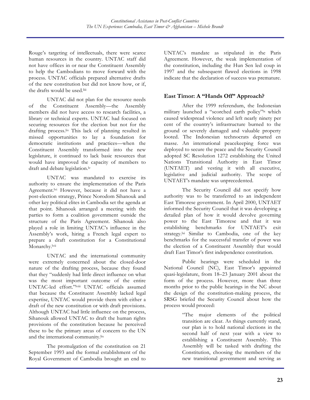Rouge's targeting of intellectuals, there were scarce human resources in the country. UNTAC staff did not have offices in or near the Constituent Assembly to help the Cambodians to move forward with the process. UNTAC officials prepared alternative drafts of the new constitution but did not know how, or if, the drafts would be used.<sup>liii</sup>

UNTAC did not plan for the resource needs of the Constituent Assembly—the Assembly members did not have access to research facilities, a library or technical experts. UNTAC had focused on securing resources for the election but not for the drafting process.liv This lack of planning resulted in missed opportunities to lay a foundation for democratic institutions and practices—when the Constituent Assembly transformed into the new legislature, it continued to lack basic resources that would have improved the capacity of members to draft and debate legislation.<sup>lv</sup>

UNTAC was mandated to exercise its authority to ensure the implementation of the Paris Agreement.<sup>lvi</sup> However, because it did not have a post-election strategy, Prince Norodom Sihanouk and other key political elites in Cambodia set the agenda at that point. Sihanouk arranged a meeting with the parties to form a coalition government outside the structure of the Paris Agreement. Sihanouk also played a role in limiting UNTAC's influence in the Assembly's work, hiring a French legal expert to prepare a draft constitution for a Constitutional Monarchy.<sup>lvii</sup>

UNTAC and the international community were extremely concerned about the closed-door nature of the drafting process, because they found that they "suddenly had little direct influence on what was the most important outcome of the entire UNTAC-led effort."lviii UNTAC officials assumed that because the Constituent Assembly lacked legal expertise, UNTAC would provide them with either a draft of the new constitution or with draft provisions. Although UNTAC had little influence on the process, Sihanouk allowed UNTAC to draft the human rights provisions of the constitution because he perceived these to be the primary areas of concern to the UN and the international community.<sup>lix</sup>

The promulgation of the constitution on 21 September 1993 and the formal establishment of the Royal Government of Cambodia brought an end to UNTAC's mandate as stipulated in the Paris Agreement. However, the weak implementation of the constitution, including the Hun Sen led coup in 1997 and the subsequent flawed elections in 1998 indicate that the declaration of success was premature.

## **East Timor: A "Hands Off" Approach?**

After the 1999 referendum, the Indonesian military launched a "scorched earth policy"lx which caused widespread violence and left nearly ninety per cent of the country's infrastructure burned to the ground or severely damaged and valuable property looted. The Indonesian technocrats departed en masse. An international peacekeeping force was deployed to secure the peace and the Security Council adopted SC Resolution 1272 establishing the United Nations Transitional Authority in East Timor (UNTAET) and vesting it with all executive, legislative and judicial authority. The scope of UNTAET's mandate was unprecedented.

The Security Council did not specify how authority was to be transferred to an independent East Timorese government. In April 2000, UNTAET informed the Security Council that it was developing a detailed plan of how it would devolve governing power to the East Timorese and that it was establishing benchmarks for UNTAET's exit strategy.<sup>lxi</sup> Similar to Cambodia, one of the key benchmarks for the successful transfer of power was the election of a Constituent Assembly that would draft East Timor's first independence constitution.

Public hearings were scheduled in the National Council (NC), East Timor's appointed quasi-legislature, from 18–23 January 2001 about the form of the process. However, more than three months prior to the public hearings in the NC about the design of the constitution-making process, the SRSG briefed the Security Council about how the process would proceed:

> "The major elements of the political transition are clear. As things currently stand, our plan is to hold national elections in the second half of next year with a view to establishing a Constituent Assembly. This Assembly will be tasked with drafting the Constitution, choosing the members of the new transitional government and serving as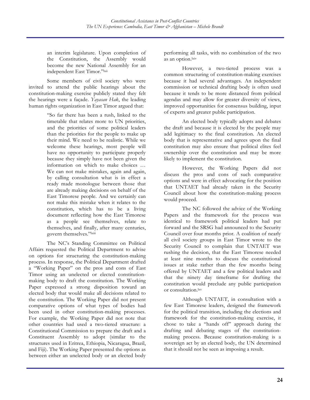an interim legislature. Upon completion of the Constitution, the Assembly would become the new National Assembly for an independent East Timor."<sup>Ixii</sup>

Some members of civil society who were invited to attend the public hearings about the constitution-making exercise publicly stated they felt the hearings were a façade. *Yayasan Hak*, the leading human rights organization in East Timor argued that:

> "So far there has been a rush, linked to the timetable that relates more to UN priorities, and the priorities of some political leaders than the priorities for the people to make up their mind. We need to be realistic. While we welcome these hearings, most people will have no opportunity to participate properly because they simply have not been given the information on which to make choices … We can not make mistakes, again and again, by calling consultation what is in effect a ready made monologue between those that are already making decisions on behalf of the East Timorese people. And we certainly can not make this mistake when it relates to the constitution, which has to be a living document reflecting how the East Timorese as a people see themselves, relate to themselves, and finally, after many centuries, govern themselves."lxiii

The NC's Standing Committee on Political Affairs requested the Political Department to advise on options for structuring the constitution-making process. In response, the Political Department drafted a "Working Paper" on the pros and cons of East Timor using an unelected or elected constitutionmaking body to draft the constitution. The Working Paper expressed a strong disposition toward an elected body that would make all decisions related to the constitution. The Working Paper did not present comparative options of what types of bodies had been used in other constitution-making processes. For example, the Working Paper did not note that other countries had used a two-tiered structure: a Constitutional Commission to prepare the draft and a Constituent Assembly to adopt (similar to the structures used in Eritrea, Ethiopia, Nicaragua, Brazil, and Fiji). The Working Paper presented the options as between either an unelected body or an elected body

performing all tasks, with no combination of the two as an option.<sup>lxiv</sup>

However, a two-tiered process was a common structuring of constitution-making exercises because it had several advantages. An independent commission or technical drafting body is often used because it tends to be more distanced from political agendas and may allow for greater diversity of views, improved opportunities for consensus building, input of experts and greater public participation.

An elected body typically adopts and debates the draft and because it is elected by the people may add legitimacy to the final constitution. An elected body that is representative and agrees upon the final constitution may also ensure that political elites feel ownership over the constitution and may be more likely to implement the constitution.

However, the Working Papers did not discuss the pros and cons of such comparative options and were in effect advocating for the position that UNTAET had already taken in the Security Council about how the constitution-making process would proceed.

The NC followed the advice of the Working Papers and the framework for the process was identical to framework political leaders had put forward and the SRSG had announced to the Security Council over four months prior. A coalition of nearly all civil society groups in East Timor wrote to the Security Council to complain that UNTAET was rushing the decision, that the East Timorese needed at least nine months to discuss the constitutional issues at stake rather than the few months being offered by UNTAET and a few political leaders and that the ninety day timeframe for drafting the constitution would preclude any public participation or consultation.<sup>lxv</sup>

Although UNTAET, in consultation with a few East Timorese leaders, designed the framework for the political transition, including the elections and framework for the constitution-making exercise, it chose to take a "hands off" approach during the drafting and debating stages of the constitutionmaking process. Because constitution-making is a sovereign act by an elected body, the UN determined that it should not be seen as imposing a result.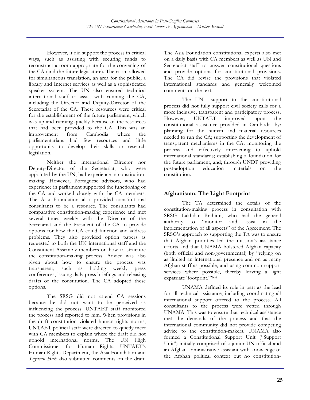However, it did support the process in critical ways, such as assisting with securing funds to reconstruct a room appropriate for the convening of the CA (and the future legislature). The room allowed for simultaneous translation, an area for the public, a library and Internet services as well as a sophisticated speaker system. The UN also ensured technical international staff to assist with running the CA, including the Director and Deputy-Director of the Secretariat of the CA. These resources were critical for the establishment of the future parliament, which was up and running quickly because of the resources that had been provided to the CA. This was an improvement from Cambodia where the parliamentarians had few resources and little opportunity to develop their skills or research legislation.

Neither the international Director nor Deputy-Director of the Secretariat, who were appointed by the UN, had experience in constitutionmaking. However, Portuguese advisors, who had experience in parliament supported the functioning of the CA and worked closely with the CA members. The Asia Foundation also provided constitutional consultants to be a resource. The consultants had comparative constitution-making experience and met several times weekly with the Director of the Secretariat and the President of the CA to provide options for how the CA could function and address problems. They also provided option papers as requested to both the UN international staff and the Constituent Assembly members on how to structure the constitution-making process. Advice was also given about how to ensure the process was transparent, such as holding weekly press conferences, issuing daily press briefings and releasing drafts of the constitution. The CA adopted these options.

The SRSG did not attend CA sessions because he did not want to be perceived as influencing the process. UNTAET staff monitored the process and reported to him. When provisions in the draft constitution violated human rights norms, UNTAET political staff were directed to quietly meet with CA members to explain where the draft did not uphold international norms. The UN High Commissioner for Human Rights, UNTAET's Human Rights Department, the Asia Foundation and *Yayasan Hak* also submitted comments on the draft.

The Asia Foundation constitutional experts also met on a daily basis with CA members as well as UN and Secretariat staff to answer constitutional questions and provide options for constitutional provisions. The CA did revise the provisions that violated international standards and generally welcomed comments on the text.

The UN's support to the constitutional process did not fully support civil society calls for a more inclusive, transparent and participatory process. However, UNTAET improved upon the constitutional assistance provided in Cambodia by: planning for the human and material resources needed to run the CA; supporting the development of transparent mechanisms in the CA; monitoring the process and effectively intervening to uphold international standards; establishing a foundation for the future parliament, and; through UNDP providing post-adoption education materials on the constitution.

## **Afghanistan: The Light Footprint**

The TA determined the details of the constitution-making process in consultation with SRSG Lakhdar Brahimi, who had the general authority to "monitor and assist in the implementation of all aspects" of the Agreement. The SRSG's approach to supporting the TA was to ensure that Afghan priorities led the mission's assistance efforts and that UNAMA bolstered Afghan capacity (both official and non-governmental) by "relying on as limited an international presence and on as many Afghan staff as possible, and using common support services where possible, thereby leaving a light expatriate 'footprint.'"lxvi

UNAMA defined its role in part as the lead for all technical assistance, including coordinating all international support offered to the process. All consultants to the process were vetted through UNAMA. This was to ensure that technical assistance met the demands of the process and that the international community did not provide competing advice to the constitution-makers. UNAMA also formed a Constitutional Support Unit ("Support Unit") initially comprised of a junior UN official and an Afghan administrative assistant with knowledge of the Afghan political context but no constitution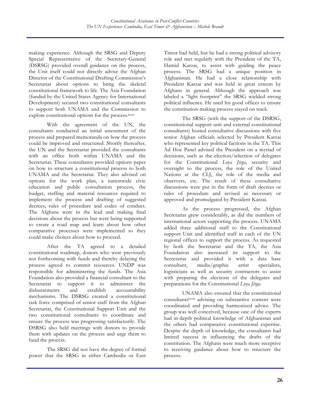making experience. Although the SRSG and Deputy Special Representative of the Secretary-General (DSRSG) provided overall guidance on the process, the Unit itself could not directly advise the Afghan Director of the Constitutional Drafting Commission's Secretariat about options to bring the skeletal constitutional framework to life. The Asia Foundation (funded by the United States Agency for International Development) secured two constitutional consultants to support both UNAMA and the Commission to explore constitutional options for the process.<sup>lxvii</sup>

With the agreement of the UN, the consultants conducted an initial assessment of the process and prepared memoranda on how the process could be improved and structured. Shortly thereafter, the UN and the Secretariat provided the consultants with an office both within UNAMA and the Secretariat. These consultants provided options paper on how to structure a constitutional process to both UNAMA and the Secretariat. They also advised on options for the work plan, a nationwide civic education and public consultation process, the budget, staffing and material resources required to implement the process and drafting of suggested decrees, rules of procedure and codes of conduct. The Afghans were in the lead and making final decisions about the process but were being supported to create a road map and learn about how other comparative processes were implemented so they could make choices about how to proceed.

After the TA agreed to a detailed constitutional roadmap, donors who were previously not forthcoming with funds and thereby delaying the process agreed to commit resources. UNDP was responsible for administering the funds. The Asia Foundation also provided a financial consultant to the Secretariat to support it to administer the disbursements and establish accountability mechanisms. The DSRSG created a constitutional task force comprised of senior staff from the Afghan Secretariat, the Constitutional Support Unit and the two constitutional consultants to coordinate and ensure the process was progressing satisfactorily. The DSRSG also held meetings with donors to provide them with updates on the process and urge them to fund the process.

The SRSG did not have the degree of formal power that the SRSG in either Cambodia or East Timor had held, but he had a strong political advisory role and met regularly with the President of the TA, Hamid Karzai, to assist with guiding the peace process. The SRSG had a unique position in Afghanistan. He had a close relationship with President Karzai and was held in great esteem by Afghans in general. Although the approach was labeled a "light footprint" the SRSG wielded strong political influence. He used his good offices to ensure the constitution-making process stayed on track.

The SRSG (with the support of the DSRSG, constitutional support unit and external constitutional consultants) hosted consultative discussions with five senior Afghan officials selected by President Karzai who represented key political factions in the TA. This Ad Hoc Panel advised the President on a myriad of decisions, such as the election/selection of delegates for the Constitutional *Loya Jirga*, security and oversight to the process, the role of the United Nations at the CLJ, the role of the media and observers, etc. The result of these consultative discussions were put in the form of draft decrees or rules of procedure and revised as necessary or approved and promulgated by President Karzai.

As the process progressed, the Afghan Secretariat grew considerably, as did the numbers of international actors supporting the process. UNAMA added three additional staff to the Constitutional support Unit and identified staff in each of the UN regional offices to support the process. As requested by both the Secretariat and the TA, the Asia Foundation also increased its support to the Secretariat and provided it with a data base consultant, media/graphic artist specialists, logisticians as well as security contractors to assist with preparing the elections of the delegates and preparations for the Constitutional *Loya Jirga*.

UNAMA also ensured that the constitutional consultantslxviii advising on substantive content were coordinated and providing harmonized advice. The group was well conceived, because one of the experts had in-depth political knowledge of Afghanistan and the others had comparative constitutional expertise. Despite the depth of knowledge, the consultants had limited success in influencing the drafts of the constitution. The Afghans were much more receptive to receiving guidance about how to structure the process.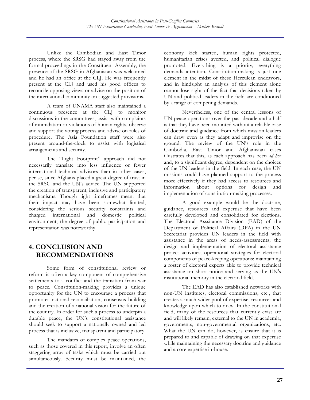Unlike the Cambodian and East Timor process, where the SRSG had stayed away from the formal proceedings in the Constituent Assembly, the presence of the SRSG in Afghanistan was welcomed and he had an office at the CLJ. He was frequently present at the CLJ and used his good offices to reconcile opposing views or advise on the position of the international community on suggested provisions.

A team of UNAMA staff also maintained a continuous presence at the CLJ to monitor discussions in the committees, assist with complaints of intimidation or violations of human rights, observe and support the voting process and advise on rules of procedure. The Asia Foundation staff were also present around-the-clock to assist with logistical arrangements and security.

The "Light Footprint" approach did not necessarily translate into less influence or fewer international technical advisors than in other cases, per se, since Afghans placed a great degree of trust in the SRSG and the UN's advice. The UN supported the creation of transparent, inclusive and participatory mechanisms. Though tight timeframes meant that their impact may have been somewhat limited, considering the serious security constraints and charged international and domestic political environment, the degree of public participation and representation was noteworthy.

# **4. CONCLUSION AND RECOMMENDATIONS**

Some form of constitutional review or reform is often a key component of comprehensive settlements to a conflict and the transition from war to peace. Constitution-making provides a unique opportunity for the UN to encourage a process that promotes national reconciliation, consensus building and the creation of a national vision for the future of the country. In order for such a process to underpin a durable peace, the UN's constitutional assistance should seek to support a nationally owned and led process that is inclusive, transparent and participatory.

The mandates of complex peace operations, such as those covered in this report, involve an often staggering array of tasks which must be carried out simultaneously. Security must be maintained, the economy kick started, human rights protected, humanitarian crises averted, and political dialogue promoted. Everything is a priority; everything demands attention. Constitution-making is just one element in the midst of these Herculean endeavors, and in hindsight an analysis of this element alone cannot lose sight of the fact that decisions taken by UN and political leaders in the field are conditioned by a range of competing demands.

Nevertheless, one of the central lessons of UN peace operations over the past decade and a half is that they have been mounted without a reliable base of doctrine and guidance from which mission leaders can draw even as they adapt and improvise on the ground. The review of the UN's role in the Cambodia, East Timor and Afghanistan cases illustrates that this, as each approach has been *ad hoc* and, to a significant degree, dependent on the choices of the UN leaders in the field. In each case, the UN missions could have planned support to the process more effectively if they had access to resources and information about options for design and implementation of constitution-making processes.

A good example would be the doctrine, guidance, resources and expertise that have been carefully developed and consolidated for elections. The Electoral Asssitance Division (EAD) of the Department of Political Affairs (DPA) in the UN Secretariat provides UN leaders in the field with assistance in the areas of needs-assessments; the design and implementation of electoral assistance project activities; operational strategies for electoral components of peace-keeping operations; maintaining a roster of electoral experts able to provide technical assistance on short notice and serving as the UN's institutional memory in the electoral field.

The EAD has also established networks with non-UN institutes, electoral commissions, etc., that creates a much wider pool of expertise, resources and knowledge upon which to draw. In the constitutional field, many of the resources that currently exist are and will likely remain, external to the UN in academia, governments, non-governmental organizations, etc. What the UN can do, however, is ensure that it is prepared to and capable of drawing on that expertise while maintaining the necessary doctrine and guidance and a core expertise in-house.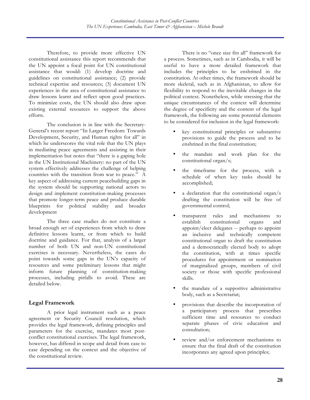Therefore, to provide more effective UN constitutional assistance this report recommends that the UN appoint a focal point for UN constitutional assistance that would: (1) develop doctrine and guidelines on constitutional assistance; (2) provide technical expertise and resources; (3) document UN experiences in the area of constitutional assistance to draw lessons learnt and reflect upon good practices. To minimize costs, the UN should also draw upon existing external resources to support the above efforts.

The conclusion is in line with the Secretary-General's recent report "In Larger Freedom: Towards Development, Security, and Human rights for all" in which he underscores the vital role that the UN plays in mediating peace agreements and assisting in their implementation but notes that "there is a gaping hole in the UN Institutional Machinery: no part of the UN system effectively addresses the challenge of helping countries with the transition from war to peace." A key aspect of addressing current peacebuilding gaps in the system should be supporting national actors to design and implement constitution-making processes that promote longer-term peace and produce durable blueprints for political stability and broader development

The three case studies do not constitute a broad enough set of experiences from which to draw definitive lessons learnt, or from which to build doctrine and guidance. For that, analysis of a larger number of both UN and non-UN constitutional exercises is necessary. Nevertheless, the cases do point towards some gaps in the UN's capacity of resources and some preliminary lessons that might inform future planning of constitution-making processes, including pitfalls to avoid. These are detailed below.

## **Legal Framework**

A prior legal instrument such as a peace agreement or Security Council resolution, which provides the legal framework, defining principles and parameters for the exercise, mandates most postconflict constitutional exercises. The legal framework, however, has differed in scope and detail from case to case depending on the context and the objective of the constitutional review.

There is no "once size fits all" framework for a process. Sometimes, such as in Cambodia, it will be useful to have a more detailed framework that includes the principles to be enshrined in the constitution. At other times, the framework should be more skeletal, such as in Afghanistan, to allow for flexibility to respond to the inevitable changes in the political context. Nonetheless, while stressing that the unique circumstances of the context will determine the degree of specificity and the content of the legal framework, the following are some potential elements to be considered for inclusion in the legal framework:

- key constitutional principles or substantive provisions to guide the process and to be enshrined in the final constitution;
- the mandate and work plan for the constitutional organ/s;
- the timeframe for the process, with a schedule of when key tasks should be accomplished;
- a declaration that the constitutional organ/s drafting the constitution will be free of governmental control;
- transparent rules and mechanisms to<br>establish constitutional organs and constitutional organs and appoint/elect delegates -- perhaps to appoint an inclusive and technically competent constitutional organ to draft the constitution and a democratically elected body to adopt the constitution, with at times specific procedures for appointment or nomination of marginalized groups, members of civil society or those with specific professional skills.
- the mandate of a supportive administrative body, such as a Secretariat;
- provisions that describe the incorporation of a participatory process that prescribes sufficient time and resources to conduct separate phases of civic education and consultation;
- review and/or enforcement mechanisms to ensure that the final draft of the constitution incorporates any agreed upon principles;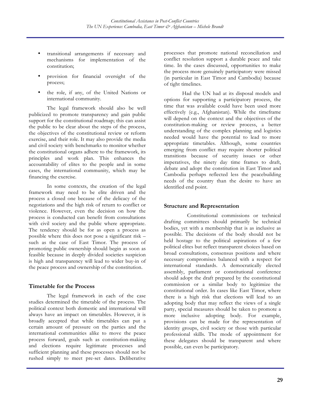- transitional arrangements if necessary and mechanisms for implementation of the constitution;
- provision for financial oversight of the process;
- the role, if any, of the United Nations or international community.

The legal framework should also be well publicized to promote transparency and gain public support for the constitutional roadmap; this can assist the public to be clear about the steps of the process, the objectives of the constitutional review or reform exercise, and their role. It may also provide the media and civil society with benchmarks to monitor whether the constitutional organs adhere to the framework, its principles and work plan. This enhances the accountability of elites to the people and in some cases, the international community, which may be financing the exercise.

In some contexts, the creation of the legal framework may need to be elite driven and the process a closed one because of the delicacy of the negotiations and the high risk of return to conflict or violence. However, even the decision on how the process is conducted can benefit from consultations with civil society and the public where appropriate. The tendency should be for as open a process as possible where this does not pose a significant risk – such as the case of East Timor. The process of promoting public ownership should begin as soon as feasible because in deeply divided societies suspicion is high and transparency will lead to wider buy-in of the peace process and ownership of the constitution.

#### **Timetable for the Process**

The legal framework in each of the case studies determined the timetable of the process. The political context both domestic and international will always have an impact on timetables. However, it is broadly accepted that while timetables can put a certain amount of pressure on the parties and the international communities alike to move the peace process forward, goals such as constitution-making and elections require legitimate processes and sufficient planning and these processes should not be rushed simply to meet pre-set dates. Deliberative

processes that promote national reconciliation and conflict resolution support a durable peace and take time. In the cases discussed, opportunities to make the process more genuinely participatory were missed (in particular in East Timor and Cambodia) because of tight timelines.

Had the UN had at its disposal models and options for supporting a participatory process, the time that was available could have been used more effectively (e.g., Afghanistan). While the timeframe will depend on the context and the objectives of the constitution-making or review process, a better understanding of the complex planning and logistics needed would have the potential to lead to more appropriate timetables. Although, some countries emerging from conflict may require shorter political transitions because of security issues or other imperatives, the ninety day time frames to draft, debate and adopt the constitution in East Timor and Cambodia perhaps reflected less the peacebuilding needs of the country than the desire to have an identified end point.

#### **Structure and Representation**

Constitutional commissions or technical drafting committees should primarily be technical bodies, yet with a membership that is as inclusive as possible. The decisions of the body should not be held hostage to the political aspirations of a few political elites but reflect transparent choices based on broad consultations, consensus positions and where necessary compromises balanced with a respect for international standards. A democratically elected assembly, parliament or constitutional conference should adopt the draft prepared by the constitutional commission or a similar body to legitimize the constitutional order. In cases like East Timor, where there is a high risk that elections will lead to an adopting body that may reflect the views of a single party, special measures should be taken to promote a more inclusive adopting body. For example, provisions can be made for the representation of identity groups, civil society or those with particular professional skills. The mode of appointment for these delegates should be transparent and where possible, can even be participatory.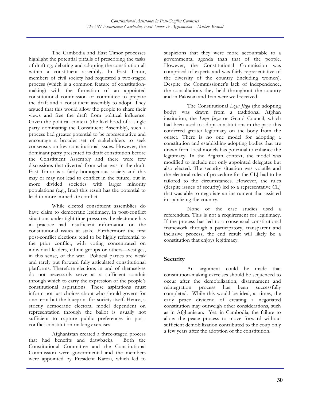The Cambodia and East Timor processes highlight the potential pitfalls of prescribing the tasks of drafting, debating and adopting the constitution all within a constituent assembly. In East Timor, members of civil society had requested a two-staged process (which is a common feature of constitutionmaking) with the formation of an appointed constitutional commission or committee to prepare the draft and a constituent assembly to adopt. They argued that this would allow the people to share their views and free the draft from political influence. Given the political context (the likelihood of a single party dominating the Constituent Assembly), such a process had greater potential to be representative and encourage a broader set of stakeholders to seek consensus on key constitutional issues. However, the dominant party presented its draft constitution before the Constituent Assembly and there were few discussions that diverted from what was in the draft. East Timor is a fairly homogenous society and this may or may not lead to conflict in the future, but in more divided societies with larger minority populations (e.g., Iraq) this result has the potential to lead to more immediate conflict.

While elected constituent assemblies do have claim to democratic legitimacy, in post-conflict situations under tight time pressures the electorate has in practice had insufficient information on the constitutional issues at stake. Furthermore the first post-conflict elections tend to be highly referential to the prior conflict, with voting concentrated on individual leaders, ethnic groups or others—vestiges, in this sense, of the war. Political parties are weak and rarely put forward fully articulated constitutional platforms. Therefore elections in and of themselves do not necessarily serve as a sufficient conduit through which to carry the expression of the people's constitutional aspirations. These aspirations must inform not just choices about who should govern for one term but the blueprint for society itself. Hence, a strictly democratic electoral model dependent on representation through the ballot is usually not sufficient to capture public preferences in postconflict constitution-making exercises.

Afghanistan created a three-staged process that had benefits and drawbacks. Both the Constitutional Committee and the Constitutional Commission were governmental and the members were appointed by President Karzai, which led to suspicions that they were more accountable to a governmental agenda than that of the people. However, the Constitutional Commission was comprised of experts and was fairly representative of the diversity of the country (including women). Despite the Commissioner's lack of independence, the consultations they held throughout the country and in Pakistan and Iran were well received.

The Constitutional *Loya Jirga* (the adopting body) was drawn from a traditional Afghan institution, the *Loya Jirga* or Grand Council, which had been used to adopt constitutions in the past; this conferred greater legitimacy on the body from the outset. There is no one model for adopting a constitution and establishing adopting bodies that are drawn from local models has potential to enhance the legitimacy. In the Afghan context, the model was modified to include not only appointed delegates but also elected. The security situation was volatile and the electoral rules of procedure for the CLJ had to be tailored to the circumstances. However, the rules (despite issues of security) led to a representative CLJ that was able to negotiate an instrument that assisted in stabilizing the country.

None of the case studies used a referendum. This is not a requirement for legitimacy. If the process has led to a consensual constitutional framework through a participatory, transparent and inclusive process, the end result will likely be a constitution that enjoys legitimacy.

#### **Security**

An argument could be made that constitution-making exercises should be sequenced to occur after the demobilization, disarmament and reintegration process has been successfully completed. While this would be ideal, at times, the early peace dividend of creating a negotiated constitution may outweigh other considerations, such as in Afghanistan. Yet, in Cambodia, the failure to allow the peace process to move forward without sufficient demobilization contributed to the coup only a few years after the adoption of the constitution.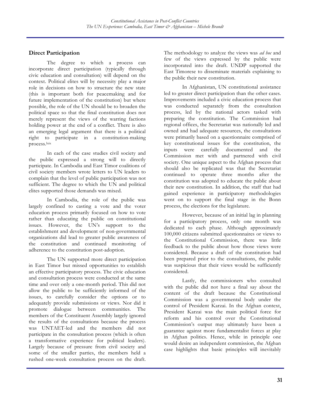### **Direct Participation**

The degree to which a process can incorporate direct participation (typically through civic education and consultation) will depend on the context. Political elites will by necessity play a major role in decisions on how to structure the new state (this is important both for peacemaking and for future implementation of the constitution) but where possible, the role of the UN should be to broaden the political space so that the final constitution does not merely represent the views of the warring factions holding power at the end of a conflict. There is also an emerging legal argument that there is a political right to participate in a constitution-making process.lxix

In each of the case studies civil society and the public expressed a strong will to directly participate. In Cambodia and East Timor coalitions of civil society members wrote letters to UN leaders to complain that the level of public participation was not sufficient. The degree to which the UN and political elites supported those demands was mixed.

In Cambodia, the role of the public was largely confined to casting a vote and the voter education process primarily focused on how to vote rather than educating the public on constitutional issues. However, the UN's support to the establishment and development of non-governmental organizations did lead to greater public awareness of the constitution and continued monitoring of adherence to the constitution post-adoption.

The UN supported more direct participation in East Timor but missed opportunities to establish an effective participatory process. The civic education and consultation process were conducted at the same time and over only a one-month period. This did not allow the public to be sufficiently informed of the issues, to carefully consider the options or to adequately provide submissions or views. Nor did it promote dialogue between communities. The members of the Constituent Assembly largely ignored the results of the consultations because the process was UNTAET-led and the members did not participate in the consultation process (which is often a transformative experience for political leaders). Largely because of pressure from civil society and some of the smaller parties, the members held a rushed one-week consultation process on the draft.

The methodology to analyze the views was *ad hoc* and few of the views expressed by the public were incorporated into the draft. UNDP supported the East Timorese to disseminate materials explaining to the public their new constitution.

In Afghanistan, UN constitutional assistance led to greater direct participation than the other cases. Improvements included a civic education process that was conducted separately from the consultation process, led by the national actors tasked with preparing the constitution. The Commission had regional offices, the Secretariat was nationally led and owned and had adequate resources, the consultations were primarily based on a questionnaire comprised of key constitutional issues for the constitution, the inputs were carefully documented and the Commission met with and partnered with civil society. One unique aspect to the Afghan process that should also be replicated was that the Secretariat continued to operate three months after the constitution was adopted to educate the public about their new constitution. In addition, the staff that had gained experience in participatory methodologies went on to support the final stage in the Bonn process, the elections for the legislature.

However, because of an initial lag in planning for a participatory process, only one month was dedicated to each phase. Although approximately 100,000 citizens submitted questionnaires or views to the Constitutional Commission, there was little feedback to the public about how those views were considered. Because a draft of the constitution had been prepared prior to the consultations, the public was suspicious that their views would be sufficiently considered.

Lastly, the commissioners who consulted with the public did not have a final say about the content of the draft because the Constitutional Commission was a governmental body under the control of President Karzai. In the Afghan context, President Karzai was the main political force for reform and his control over the Constitutional Commission's output may ultimately have been a guarantee against more fundamentalist forces at play in Afghan politics. Hence, while in principle one would desire an independent commission, the Afghan case highlights that basic principles will inevitably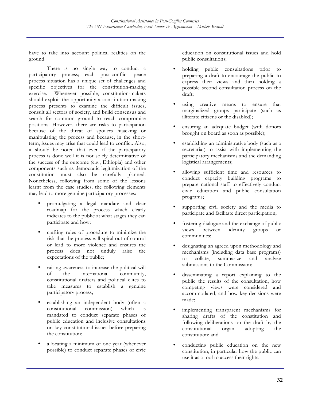have to take into account political realities on the ground.

There is no single way to conduct a participatory process; each post-conflict peace process situation has a unique set of challenges and specific objectives for the constitution-making exercise. Whenever possible, constitution-makers should exploit the opportunity a constitution-making process presents to examine the difficult issues, consult all sectors of society, and build consensus and search for common ground to reach compromise positions. However, there are risks to participation because of the threat of spoilers hijacking or manipulating the process and because, in the shortterm, issues may arise that could lead to conflict. Also, it should be noted that even if the participatory process is done well it is not solely determinative of the success of the outcome (e.g., Ethiopia) and other components such as democratic legitimization of the constitution must also be carefully planned. Nonetheless, following from some of the lessons learnt from the case studies, the following elements may lead to more genuine participatory processes:

- promulgating a legal mandate and clear roadmap for the process which clearly indicates to the public at what stages they can participate and how;
- crafting rules of procedure to minimize the risk that the process will spiral out of control or lead to more violence and ensures the process does not unduly raise the expectations of the public;
- raising awareness to increase the political will of the international community, constitutional drafters and political elites to take measures to establish a genuine participatory process;
- establishing an independent body (often a constitutional commission) which is commission) which is mandated to conduct separate phases of public education and inclusive consultations on key constitutional issues before preparing the constitution;
- allocating a minimum of one year (whenever possible) to conduct separate phases of civic

education on constitutional issues and hold public consultations;

- holding public consultations prior to preparing a draft to encourage the public to express their views and then holding a possible second consultation process on the draft;
- using creative means to ensure that marginalized groups participate (such as illiterate citizens or the disabled);
- ensuring an adequate budget (with donors brought on board as soon as possible);
- establishing an administrative body (such as a secretariat) to assist with implementing the participatory mechanisms and the demanding logistical arrangements;
- allowing sufficient time and resources to conduct capacity building programs to prepare national staff to effectively conduct civic education and public consultation programs;
- supporting civil society and the media to participate and facilitate direct participation;
- fostering dialogue and the exchange of public views between identity groups or communities;
- designating an agreed upon methodology and mechanisms (including data base programs) to collate, summarize and analyze submissions to the Commission;
- disseminating a report explaining to the public the results of the consultation, how competing views were considered and accommodated, and how key decisions were made;
- implementing transparent mechanisms for sharing drafts of the constitution and following deliberations on the draft by the constitutional organ adopting the constitution; and
- conducting public education on the new constitution, in particular how the public can use it as a tool to access their rights.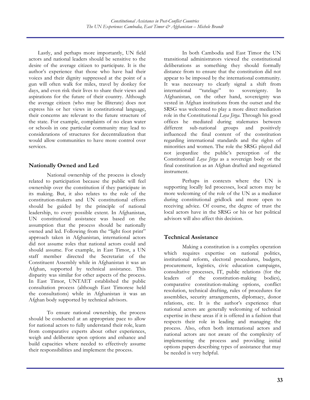Lastly, and perhaps more importantly, UN field actors and national leaders should be sensitive to the desire of the average citizen to participate. It is the author's experience that those who have had their voices and their dignity suppressed at the point of a gun will often walk for miles, travel by donkey for days, and even risk their lives to share their views and aspirations for the future of their country. Although the average citizen (who may be illiterate) does not express his or her views in constitutional language, their concerns are relevant to the future structure of the state. For example, complaints of no clean water or schools in one particular community may lead to considerations of structures for decentralization that would allow communities to have more control over services.

#### **Nationally Owned and Led**

National ownership of the process is closely related to participation because the public will feel ownership over the constitution if they participate in its making. But, it also relates to the role of the constitution-makers and UN constitutional efforts should be guided by the principle of national leadership, to every possible extent. In Afghanistan, UN constitutional assistance was based on the assumption that the process should be nationally owned and led. Following from the "light foot print" approach taken in Afghanistan, international actors did not assume roles that national actors could and should assume. For example, in East Timor, a UN staff member directed the Secretariat of the Constituent Assembly while in Afghanistan it was an Afghan, supported by technical assistance. This disparity was similar for other aspects of the process. In East Timor, UNTAET established the public consultation process (although East Timorese held the consultations) while in Afghanistan it was an Afghan body supported by technical advisors.

To ensure national ownership, the process should be conducted at an appropriate pace to allow for national actors to fully understand their role, learn from comparative experts about other experiences, weigh and deliberate upon options and enhance and build capacities where needed to effectively assume their responsibilities and implement the process.

In both Cambodia and East Timor the UN transitional administrators viewed the constitutional deliberations as something they should formally distance from to ensure that the constitution did not appear to be imposed by the international community. It was necessary to clearly signal a shift from international "tutelage" to sovereignty. In Afghanistan, on the other hand, sovereignty was vested in Afghan institutions from the outset and the SRSG was welcomed to play a more direct mediation role in the Constitutional *Loya Jirga*. Through his good offices he mediated during stalemates between different sub-national groups and positively influenced the final content of the constitution regarding international standards and the rights of minorities and women. The role the SRSG played did not jeopardize the public's perception of the Constitutional *Loya Jirga* as a sovereign body or the final constitution as an Afghan drafted and negotiated instrument.

Perhaps in contexts where the UN is supporting locally led processes, local actors may be more welcoming of the role of the UN as a mediator during constitutional gridlock and more open to receiving advice. Of course, the degree of trust the local actors have in the SRSG or his or her political advisors will also affect this decision.

## **Technical Assistance**

Making a constitution is a complex operation which requires expertise on national politics, institutional reform, electoral procedures, budgets, procurement, logistics, civic education campaigns, consultative processes, IT, public relations (for the leaders of the constitution-making bodies), comparative constitution-making options, conflict resolution, technical drafting, rules of procedures for assemblies, security arrangements, diplomacy, donor relations, etc. It is the author's experience that national actors are generally welcoming of technical expertise in these areas if it is offered in a fashion that respects their role in leading and managing the process. Also, often both international actors and national actors are not aware of the complexity of implementing the process and providing initial options papers describing types of assistance that may be needed is very helpful.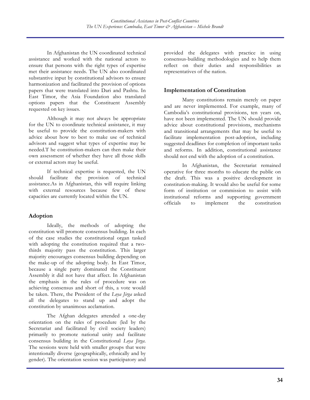In Afghanistan the UN coordinated technical assistance and worked with the national actors to ensure that persons with the right types of expertise met their assistance needs. The UN also coordinated substantive input by constitutional advisors to ensure harmonization and facilitated the provision of options papers that were translated into Dari and Pashtu. In East Timor, the Asia Foundation also translated options papers that the Constituent Assembly requested on key issues.

Although it may not always be appropriate for the UN to coordinate technical assistance, it may be useful to provide the constitution-makers with advice about how to best to make use of technical advisors and suggest what types of expertise may be needed.T he constitution-makers can then make their own assessment of whether they have all those skills or external actors may be useful.

If technical expertise is requested, the UN should facilitate the provision of technical assistance.As in Afghanistan, this will require linking with external resources because few of these capacities are currently located within the UN.

#### **Adoption**

Ideally, the methods of adopting the constitution will promote consensus building. In each of the case studies the constitutional organ tasked with adopting the constitution required that a twothirds majority pass the constitution. This larger majority encourages consensus building depending on the make-up of the adopting body. In East Timor, because a single party dominated the Constituent Assembly it did not have that affect. In Afghanistan the emphasis in the rules of procedure was on achieving consensus and short of this, a vote would be taken. There, the President of the *Loya Jirga* asked all the delegates to stand up and adopt the constitution by unanimous acclamation.

The Afghan delegates attended a one-day orientation on the rules of procedure (led by the Secretariat and facilitated by civil society leaders) primarily to promote national unity and facilitate consensus building in the Constitutional *Loya Jirga*. The sessions were held with smaller groups that were intentionally diverse (geographically, ethnically and by gender). The orientation session was participatory and

provided the delegates with practice in using consensus-building methodologies and to help them reflect on their duties and responsibilities as representatives of the nation.

### **Implementation of Constitution**

Many constitutions remain merely on paper and are never implemented. For example, many of Cambodia's constitutional provisions, ten years on, have not been implemented. The UN should provide advice about constitutional provisions, mechanisms and transitional arrangements that may be useful to facilitate implementation post-adoption, including suggested deadlines for completion of important tasks and reforms. In addition, constitutional assistance should not end with the adoption of a constitution.

In Afghanistan, the Secretariat remained operative for three months to educate the public on the draft. This was a positive development in constitution-making. It would also be useful for some form of institution or commission to assist with institutional reforms and supporting government officials to implement the constitution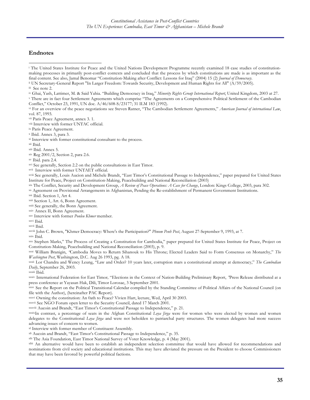#### **Endnotes**

iv Ghai, Yash, Lattimer, M. & Said Yahia. "Building Democracy in Iraq," *Minority Rights Group International Report*, United Kingdom, 2003 at 27.

<sup>v</sup> There are in fact four Settlement Agreements which comprise "The Agreements on a Comprehensive Political Settlement of the Cambodian

Conflict," October 23, 1991, UN doc. A/46/608-S/23177; 31 ILM 183 (1992).<br>vi For an overview of the peace negotiations see Steven Ratner, "The Cambodian Settlement Agreements," *American Journal of international Law*, vol. 87, 1993.

vii Paris Peace Agreement, annex 3. 1.

viii Interview with former UNTAC official.

ix Paris Peace Agreement.

<sup>x</sup> Ibid. Annex 3, para 3.

xi Interview with former constitutional consultant to the process.

xii Ibid.

xiii Ibid. Annex 5.

xiv Reg 2001/2, Section 2, para 2.6.

xv Ibid. para 2.4.

xvi See generally, Section 2.2 on the public consultations in East Timor.

xvii Interview with former UNTAET official.

xviii See generally, Louis Aucion and Michele Brandt, "East Timor's Constitutional Passage to Independence," paper prepared for United States Institute for Peace, Project on Constitution-Making, Peacebuilding and National Reconciliation (2003)<br>xix The Conflict, Security and Development Group, A Review of Peace Operations: A Case for Change, London: Kings College

xx Agreement on Provisional Arrangements in Afghanistan, Pending the Re-establishment of Permanent Government Institutions. xxi Ibid. Section 1, Art 4.

xxii Section 1, Art. 6, Bonn Agreement.

xxiii See generally, the Bonn Agreement.

xxiv Annex II, Bonn Agreement.

xxv Interview with former *Ponleu Khmer* member.

xxvi Ibid.

xxvii Ibid.<br>xxviii John C. Brown, "Khmer Democracy: Where's the Participation?" Phnom Penh Post, August 27-September 9, 1993, at 7.

xxix Ibid.<br>xxx Stephen Marks," The Process of Creating a Constitution for Cambodia," paper prepared for United States Institute for Peace, Project on Constitution-Making, Peacebuilding and National Reconciliation (2003), p. 9.

xxxi William Branigin, *"*Cambodia Moves to Return Sihanouk to His Throne; Elected Leaders Said to Form Consensus on Monarchy," *The Washington Post*, Washington, D.C. Aug 26 1993, pg. A 18. <br>xxxii Lor Chandra and Wency Leung, "Law and Order? 10 years later, corruption mars a constitutional attempt at democracy," *The Cambodian* 

*Daily*, September 26, 2003.

xxxiii Ibid. xxxiv International Federation for East Timor*,* "Elections in the Context of Nation-Building Preliminary Report, *"*Press Release distributed at a press conference at Yayasan Hak, Dili, Timor Lorosae, 3 September 2001.

xxxv See the Report on the Political Transitional Calendar compiled by the Standing Committee of Political Affairs of the National Council (on file with the Author), (hereinafter PAC Report).

xxxvi Owning the constitution: An 0ath to Peace? Vivien Hart, lecture, Wed, April 30 2003.

xxxvii See NGO Forum open letter to the Security Council, dated 17 March 2001.<br>xxxviii Aucoin and Brandt, "East Timor's Constitutional Passage to Independence," p. 21.

xxxixIn contrast, a percentage of seats in the Afghan Constitutional *Loya Jirga* were for women who were elected by women and women delegates to the Constitutional *Loya Jirga* and were not beholden to patriarchal party structures. The women delegates had more success advancing issues of concern to women.

xl Interview with former member of Constituent Assembly.

x<sup>ii</sup> Aucoin and Brandt, "East Timor's Constitutional Passage to Independence," p. 35.<br>x<sup>ii</sup> The Asia Foundation, East Timor National Survey of Voter Knowledge, p. 4 (May 2001).

xliii An alternative would have been to establish an independent selection committee that would have allowed for recommendations and nominations from civil society and educational institutions. This may have alleviated the pressure on the President to choose Commissioners that may have been favored by powerful political factions.

l <sup>i</sup> The United States Institute for Peace and the United Nations Development Programme recently examined 18 case studies of constitutionmaking processes in primarily post-conflict contexts and concluded that the process by which constitutions are made is as important as the final content. See also, Jamal Benomar "Constitution-Making after Conflict: Lessons for Iraq" (2004) 15 (2) *Journal of Democracy*.

ii UN Secretary-General Report "In Larger Freedom: Towards Security, Development and Human Rights for All" (A/59/2005).

iii See note 2.